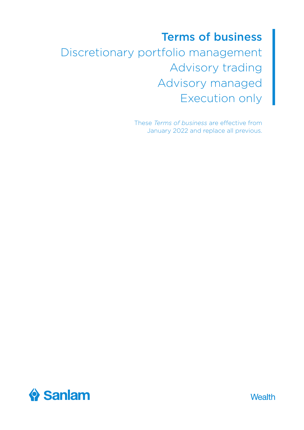# Terms of business Discretionary portfolio management Advisory trading Advisory managed Execution only

These *Terms of business* are effective from January 2022 and replace all previous.



Wealth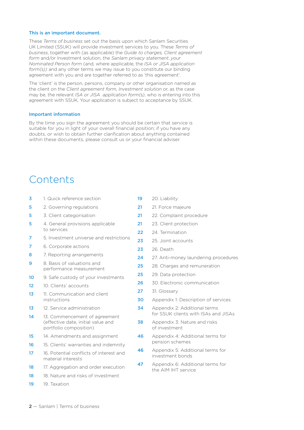#### This is an important document.

These *Terms of business* set out the basis upon which Sanlam Securities UK Limited (SSUK) will provide investment services to you. These *Terms of business*, together with (as applicable) the *Guide to charges, Client agreement form* and/or Investment solution, the *Sanlam privacy statement*, *your Nominated Person form* (and, where applicable, the *ISA or JISA application form(s))* and any other terms we may issue to you constitute our binding agreement with you and are together referred to as 'this agreement'.

The 'client' is the person, persons, company or other organisation named as the client on the *Client agreement form, Investment solution* or, as the case may be, the relevant *ISA or JISA application form(s)*, who is entering into this agreement with SSUK. Your application is subject to acceptance by SSUK.

#### Important information

By the time you sign the agreement you should be certain that service is suitable for you in light of your overall financial position; if you have any doubts, or wish to obtain further clarification about anything contained within these documents, please consult us or your financial adviser.

### Contents

- 3 1. Quick reference section **5** 2. Governing regulations 5 3. Client categorisation **5** 4. General provisions applicable to services 7 5. Investment universe and restrictions 7 6. Corporate actions 8 7. Reporting arrangements **9** 8. Basis of valuations and performance measurement 10 9. Safe custody of your investments 12 10. Clients' accounts 13 11. Communication and client instructions 13 12. Service administration 14 13. Commencement of agreement (effective date, initial value and portfolio composition) 15 14. Amendments and assignment 16 15. Clients' warranties and indemnity 17 16. Potential conflicts of interest and material interests 18 17 Aggregation and order execution 18 18. Nature and risks of investment 19 19. Taxation
	- 19 20. Liability
	- 21 21. Force majeure
	- 21 22. Complaint procedure
	- 21 23. Client protection
	- 22 24. Termination
	- 23 25. Joint accounts
	- **23** 26. Death
	- 24 27. Anti-money laundering procedures
	- 25 28. Charges and remuneration
	- 25 29. Data protection
	- 26 30. Electronic communication
	- 27 31. Glossary
	- 30 Appendix 1: Description of services
	- 34 Appendix 2: Additional terms for SSUK clients with ISAs and JISAs
	- **38** Appendix 3: Nature and risks of investment
	- 46 Appendix 4: Additional terms for pension schemes
	- 46 Appendix 5: Additional terms for investment bonds
	- 47 Appendix 6: Additional terms for the AIM IHT service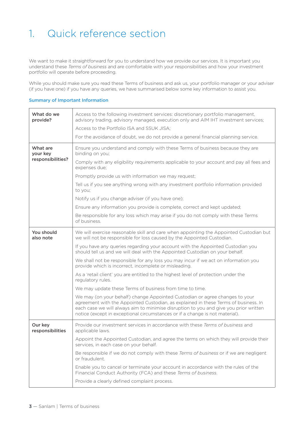## 1. Quick reference section

We want to make it straightforward for you to understand how we provide our services. It is important you understand these *Terms of business* and are comfortable with your responsibilities and how your investment portfolio will operate before proceeding.

While you should make sure you read these Terms of business and ask us, your portfolio manager or your adviser (if you have one) if you have any queries, we have summarised below some key information to assist you.

#### Summary of Important Information

| What do we<br>provide?                    | Access to the following investment services: discretionary portfolio management,<br>advisory trading, advisory managed, execution only and AIM IHT investment services;                                                                                                                                                                     |
|-------------------------------------------|---------------------------------------------------------------------------------------------------------------------------------------------------------------------------------------------------------------------------------------------------------------------------------------------------------------------------------------------|
|                                           | Access to the Portfolio ISA and SSUK JISA;                                                                                                                                                                                                                                                                                                  |
|                                           | For the avoidance of doubt, we do not provide a general financial planning service.                                                                                                                                                                                                                                                         |
| What are<br>your key<br>responsibilities? | Ensure you understand and comply with these Terms of business because they are<br>binding on you;                                                                                                                                                                                                                                           |
|                                           | Comply with any eligibility requirements applicable to your account and pay all fees and<br>expenses due:                                                                                                                                                                                                                                   |
|                                           | Promptly provide us with information we may request;                                                                                                                                                                                                                                                                                        |
|                                           | Tell us if you see anything wrong with any investment portfolio information provided<br>to you;                                                                                                                                                                                                                                             |
|                                           | Notify us if you change adviser (if you have one);                                                                                                                                                                                                                                                                                          |
|                                           | Ensure any information you provide is complete, correct and kept updated;                                                                                                                                                                                                                                                                   |
|                                           | Be responsible for any loss which may arise if you do not comply with these Terms<br>of business.                                                                                                                                                                                                                                           |
| You should<br>also note                   | We will exercise reasonable skill and care when appointing the Appointed Custodian but<br>we will not be responsible for loss caused by the Appointed Custodian.                                                                                                                                                                            |
|                                           | If you have any queries regarding your account with the Appointed Custodian you<br>should tell us and we will deal with the Appointed Custodian on your behalf.                                                                                                                                                                             |
|                                           | We shall not be responsible for any loss you may incur if we act on information you<br>provide which is incorrect, incomplete or misleading.                                                                                                                                                                                                |
|                                           | As a 'retail client' you are entitled to the highest level of protection under the<br>regulatory rules.                                                                                                                                                                                                                                     |
|                                           | We may update these Terms of business from time to time.                                                                                                                                                                                                                                                                                    |
|                                           | We may (on your behalf) change Appointed Custodian or agree changes to your<br>agreement with the Appointed Custodian, as explained in these Terms of business. In<br>each case we will always aim to minimise disruption to you and give you prior written<br>notice (except in exceptional circumstances or if a change is not material). |
| Our key<br>responsibilities               | Provide our investment services in accordance with these Terms of business and<br>applicable laws.                                                                                                                                                                                                                                          |
|                                           | Appoint the Appointed Custodian, and agree the terms on which they will provide their<br>services, in each case on your behalf.                                                                                                                                                                                                             |
|                                           | Be responsible if we do not comply with these Terms of business or if we are negligent<br>or fraudulent.                                                                                                                                                                                                                                    |
|                                           | Enable you to cancel or terminate your account in accordance with the rules of the<br>Financial Conduct Authority (FCA) and these Terms of business.                                                                                                                                                                                        |
|                                           | Provide a clearly defined complaint process.                                                                                                                                                                                                                                                                                                |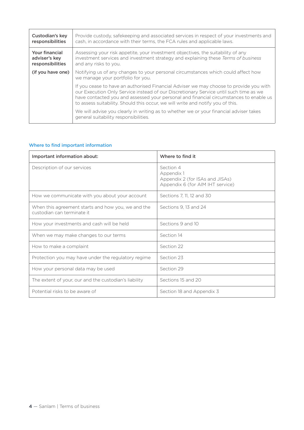| Custodian's key<br>responsibilities                        | Provide custody, safekeeping and associated services in respect of your investments and<br>cash, in accordance with their terms, the FCA rules and applicable laws.                                                                                                                                                                                          |
|------------------------------------------------------------|--------------------------------------------------------------------------------------------------------------------------------------------------------------------------------------------------------------------------------------------------------------------------------------------------------------------------------------------------------------|
| <b>Your financial</b><br>adviser's key<br>responsibilities | Assessing your risk appetite, your investment objectives, the suitability of any<br>investment services and investment strategy and explaining these Terms of business<br>and any risks to you.                                                                                                                                                              |
| (if you have one)                                          | Notifying us of any changes to your personal circumstances which could affect how<br>we manage your portfolio for you.                                                                                                                                                                                                                                       |
|                                                            | If you cease to have an authorised Financial Adviser we may choose to provide you with<br>our Execution Only Service instead of our Discretionary Service until such time as we<br>have contacted you and assessed your personal and financial circumstances to enable us<br>to assess suitability. Should this occur, we will write and notify you of this. |
|                                                            | We will advise you clearly in writing as to whether we or your financial adviser takes<br>general suitability responsibilities.                                                                                                                                                                                                                              |

#### Where to find important information

| Important information about:                                                     | Where to find it                                                                               |  |
|----------------------------------------------------------------------------------|------------------------------------------------------------------------------------------------|--|
| Description of our services                                                      | Section 4<br>Appendix 1<br>Appendix 2 (for ISAs and JISAs)<br>Appendix 6 (for AIM IHT service) |  |
| How we communicate with you about your account                                   | Sections 7, 11, 12 and 30                                                                      |  |
| When this agreement starts and how you, we and the<br>custodian can terminate it | Sections 9.13 and 24                                                                           |  |
| How your investments and cash will be held                                       | Sections 9 and 10                                                                              |  |
| When we may make changes to our terms                                            | Section 14                                                                                     |  |
| How to make a complaint                                                          | Section 22                                                                                     |  |
| Protection you may have under the regulatory regime                              | Section 23                                                                                     |  |
| How your personal data may be used                                               | Section 29                                                                                     |  |
| The extent of your, our and the custodian's liability                            | Sections 15 and 20                                                                             |  |
| Potential risks to be aware of                                                   | Section 18 and Appendix 3                                                                      |  |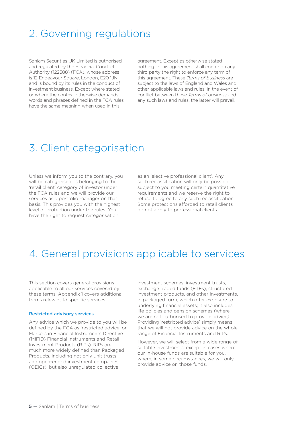### 2. Governing regulations

Sanlam Securities UK Limited is authorised and regulated by the Financial Conduct Authority (122588) (FCA), whose address is 12 Endeavour Square, London, E20 1JN, and is bound by its rules in the conduct of investment business. Except where stated, or where the context otherwise demands, words and phrases defined in the FCA rules have the same meaning when used in this

agreement. Except as otherwise stated nothing in this agreement shall confer on any third party the right to enforce any term of this agreement. These *Terms of business* are subject to the laws of England and Wales and other applicable laws and rules. In the event of conflict between these *Terms of business* and any such laws and rules, the latter will prevail.

### 3. Client categorisation

Unless we inform you to the contrary, you will be categorised as belonging to the 'retail client' category of investor under the FCA rules and we will provide our services as a portfolio manager on that basis. This provides you with the highest level of protection under the rules. You have the right to request categorisation

as an 'elective professional client'. Any such reclassification will only be possible subject to you meeting certain quantitative requirements and we reserve the right to refuse to agree to any such reclassification. Some protections afforded to retail clients do not apply to professional clients.

### 4. General provisions applicable to services

This section covers general provisions applicable to all our services covered by these terms. Appendix 1 covers additional terms relevant to specific services.

#### Restricted advisory services

Any advice which we provide to you will be defined by the FCA as 'restricted advice' on Markets in Financial Instruments Directive (MiFID) Financial Instruments and Retail Investment Products (RIPs). RIPs are much more widely defined than Packaged Products, including not only unit trusts and open-ended investment companies (OEICs), but also unregulated collective

investment schemes, investment trusts, exchange traded funds (ETFs), structured investment products, and other investments, in packaged form, which offer exposure to underlying financial assets; it also includes life policies and pension schemes (where we are not authorised to provide advice). Providing 'restricted advice' simply means that we will not provide advice on the whole range of Financial Instruments and RIPs.

However, we will select from a wide range of suitable investments, except in cases where our in-house funds are suitable for you, where, in some circumstances, we will only provide advice on those funds.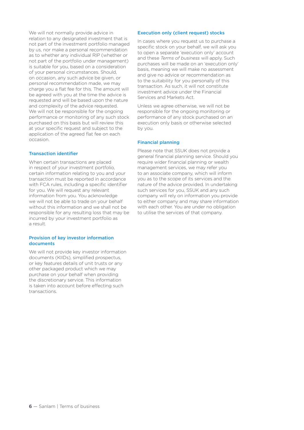We will not normally provide advice in relation to any designated investment that is not part of the investment portfolio managed by us, nor make a personal recommendation as to whether any individual RIP (whether or not part of the portfolio under management) is suitable for you, based on a consideration of your personal circumstances. Should, on occasion, any such advice be given, or personal recommendation made, we may charge you a flat fee for this. The amount will be agreed with you at the time the advice is requested and will be based upon the nature and complexity of the advice requested. We will not be responsible for the ongoing performance or monitoring of any such stock purchased on this basis but will review this at your specific request and subject to the application of the agreed flat fee on each occasion.

#### Transaction identifier

When certain transactions are placed in respect of your investment portfolio, certain information relating to you and your transaction must be reported in accordance with FCA rules, including a specific identifier for you. We will request any relevant information from you. You acknowledge we will not be able to trade on your behalf without this information and we shall not be responsible for any resulting loss that may be incurred by your investment portfolio as a result.

#### Provision of key investor information documents

We will not provide key investor information documents (KIIDs), simplified prospectus, or key features details of unit trusts or any other packaged product which we may purchase on your behalf when providing the discretionary service. This information is taken into account before effecting such transactions.

#### Execution only (client request) stocks

In cases where you request us to purchase a specific stock on your behalf, we will ask you to open a separate 'execution only' account and these *Terms of business* will apply. Such purchases will be made on an 'execution only' basis, meaning we will make no assessment and give no advice or recommendation as to the suitability for you personally of this transaction. As such, it will not constitute investment advice under the Financial Services and Markets Act.

Unless we agree otherwise, we will not be responsible for the ongoing monitoring or performance of any stock purchased on an execution only basis or otherwise selected by you.

#### Financial planning

Please note that SSUK does not provide a general financial planning service. Should you require wider financial planning or wealth management services, we may refer you to an associate company, which will inform you as to the scope of its services and the nature of the advice provided. In undertaking such services for you, SSUK and any such company will rely on information you provide to either company and may share information with each other. You are under no obligation to utilise the services of that company.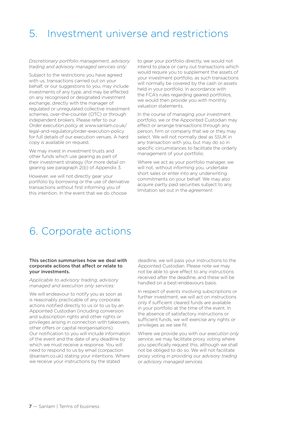### 5. Investment universe and restrictions

*Discretionary portfolio management, advisory trading and advisory managed services only:* 

Subject to the restrictions you have agreed with us, transactions carried out on your behalf, or our suggestions to you, may include investments of any type, and may be effected on any recognised or designated investment exchange, directly with the manager of regulated or unregulated collective investment schemes, over-the-counter (OTC) or through independent brokers. Please refer to our *Order execution policy* at www.sanlam.co.uk/ legal-and-regulatory/order-execution-policy for full details of our execution venues. A hard copy is available on request.

We may invest in investment trusts and other funds which use gearing as part of their investment strategy (for more detail on gearing see paragraph 2(b) of Appendix 3.

However, we will not directly gear your portfolio by borrowing or the use of derivative transactions without first informing you of this intention. In the event that we do choose

to gear your portfolio directly, we would not intend to place or carry out transactions which would require you to supplement the assets of your investment portfolio, as such transactions will normally be covered by the cash or assets held in your portfolio. In accordance with the FCA's rules regarding geared portfolios, we would then provide you with monthly valuation statements.

In the course of managing your investment portfolio, we or the Appointed Custodian may effect or arrange transactions through any person, firm or company that we or they may select. We will not normally deal as SSUK in any transaction with you, but may do so in specific circumstances to facilitate the orderly management of your portfolio.

Where we act as your portfolio manager, we will not, without informing you, undertake short sales or enter into any underwriting commitments on your behalf. We may also acquire partly paid securities subject to any limitation set out in the *agreement*.

### 6. Corporate actions

#### This section summarises how we deal with corporate actions that affect or relate to your investments.

*Applicable to advisory trading, advisory managed and execution only services:*

We will endeavour to notify you as soon as is reasonably practicable of any corporate actions notified directly to us or to us by an Appointed Custodian (including conversion and subscription rights and other rights or privileges arising in connection with takeovers, other offers or capital reorganisations). Our notification to you will include information of the event and the date of any deadline by which we must receive a response. You will need to respond to us by email (corpaction @sanlam.co.uk) stating your intentions. Where we receive your instructions by the stated

deadline, we will pass your instructions to the Appointed Custodian. Please note we may not be able to give effect to any instructions received after the deadline, and these will be handled on a best-endeavours basis.

In respect of events involving subscriptions or further investment, we will act on instructions only if sufficient cleared funds are available in your portfolio at the time of the event. In the absence of satisfactory instructions or sufficient funds, we will exercise any rights or privileges as we see fit.

Where we provide you with our *execution only service*, we may facilitate proxy voting where you specifically request this, although we shall not be obliged to do so. We will not facilitate proxy voting in providing our *advisory trading* or *advisory managed services*.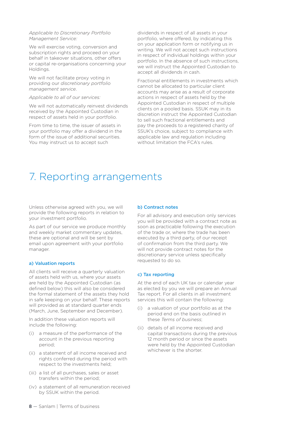#### *Applicable to Discretionary Portfolio Management Service:*

We will exercise voting, conversion and subscription rights and proceed on your behalf in takeover situations, other offers or capital re-organisations concerning your Holdings.

We will not facilitate proxy voting in providing our *discretionary portfolio management service*.

#### *Applicable to all of our services:*

We will not automatically reinvest dividends received by the Appointed Custodian in respect of assets held in your portfolio.

From time to time, the issuer of assets in your portfolio may offer a dividend in the form of the issue of additional securities. You may instruct us to accept such

dividends in respect of all assets in your portfolio, where offered, by indicating this on your application form or notifying us in writing. We will not accept such instructions in respect of individual holdings within your portfolio. In the absence of such instructions, we will instruct the Appointed Custodian to accept all dividends in cash.

Fractional entitlements in investments which cannot be allocated to particular client accounts may arise as a result of corporate actions in respect of assets held by the Appointed Custodian in respect of multiple clients on a pooled basis. SSUK may in its discretion instruct the Appointed Custodian to sell such fractional entitlements and pay the proceeds to a registered charity of SSUK's choice, subject to compliance with applicable law and regulation including without limitation the FCA's rules.

### 7. Reporting arrangements

Unless otherwise agreed with you, we will provide the following reports in relation to your investment portfolio.

As part of our service we produce monthly and weekly market commentary updates, these are optional and will be sent by email upon agreement with your portfolio manager.

#### a) Valuation reports

All clients will receive a quarterly valuation of assets held with us, where your assets are held by the Appointed Custodian (as defined below) this will also be considered the formal statement of the assets they hold in safe keeping on your behalf. These reports will provided as at standard quarter ends (March, June, September and December).

In addition these valuation reports will include the following:

- (i) a measure of the performance of the account in the previous reporting period;
- (ii) a statement of all income received and rights conferred during the period with respect to the investments held;
- (iii) a list of all purchases, sales or asset transfers within the period;
- (iv) a statement of all remuneration received by SSUK within the period.

#### b) Contract notes

For all advisory and execution only services you will be provided with a contract note as soon as practicable following the execution of the trade or, where the trade has been executed by a third party, of our receipt of confirmation from the third party. We will not provide contract notes for the discretionary service unless specifically requested to do so.

#### c) Tax reporting

At the end of each UK tax or calendar year as elected by you we will prepare an Annual Tax report. For all clients in all investment services this will contain the following:

- a valuation of your portfolio as at the period end on the basis outlined in these *Terms of business*;
- (ii) details of all income received and capital transactions during the previous 12 month period or since the assets were held by the Appointed Custodian whichever is the shorter.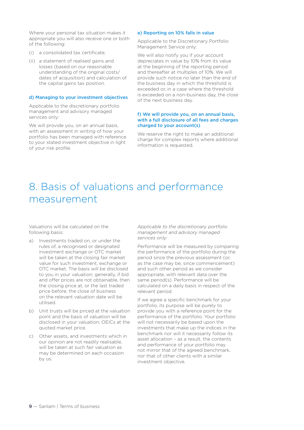Where your personal tax situation makes it appropriate you will also receive one or both of the following:

- (i) a consolidated tax certificate;
- (ii) a statement of realised gains and losses (based on our reasonable understanding of the original costs/ dates of acquisition) and calculation of the capital gains tax position.

#### d) Managing to your investment objectives

Applicable to the discretionary portfolio management and advisory managed services only:

We will provide you, on an annual basis, with an assessment in writing of how your portfolio has been managed with reference to your stated investment objective in light of your risk profile.

#### e) Reporting on 10% falls in value

Applicable to the Discretionary Portfolio Management Service only:

We will also notify you if your account depreciates in value by 10% from its value at the beginning of the reporting period and thereafter at multiples of 10%. We will provide such notice no later than the end of the business day in which the threshold is exceeded or, in a case where the threshold is exceeded on a non-business day, the close of the next business day.

#### f) We will provide you, on an annual basis, with a full disclosure of all fees and charges charged to your account(s)

We reserve the right to make an additional charge for complex reports where additional information is requested.

### 8. Basis of valuations and performance measurement

Valuations will be calculated on the following basis:

- a) Investments traded on, or under the rules of, a recognised or designated investment exchange or OTC market will be taken at the closing fair market value for such investment, exchange or OTC market. The basis will be disclosed to you in your valuation; generally, if bid and offer prices are not obtainable, then the closing price at, or the last traded price before, the close of business on the relevant valuation date will be utilised.
- b) Unit trusts will be priced at the valuation point and the basis of valuation will be disclosed in your valuation; OEICs at the quoted market price.
- c) Other assets, and investments which in our opinion are not readily realisable, will be taken at such fair valuation as may be determined on each occasion by us.

*Applicable to the discretionary portfolio management and advisory managed services only:*

Performance will be measured by comparing the performance of the portfolio during the period since the previous assessment (or, as the case may be, since commencement) and such other period as we consider appropriate, with relevant data over the same period(s). Performance will be calculated on a daily basis in respect of the relevant period.

If we agree a specific benchmark for your portfolio, its purpose will be purely to provide you with a reference point for the performance of the portfolio. Your portfolio will not necessarily be based upon the investments that make up the indices in the benchmark nor will it necessarily follow its asset allocation – as a result, the contents and performance of your portfolio may not mirror that of the agreed benchmark, nor that of other clients with a similar investment objective.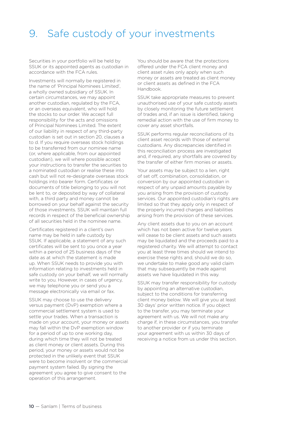### 9. Safe custody of your investments

Securities in your portfolio will be held by SSUK or its appointed agents as custodian in accordance with the FCA rules.

Investments will normally be registered in the name of 'Principal Nominees Limited', a wholly owned subsidiary of SSUK. In certain circumstances, we may appoint another custodian, regulated by the FCA, or an overseas equivalent, who will hold the stocks to our order. We accept full responsibility for the acts and omissions of Principal Nominees Limited. The extent of our liability in respect of any third-party custodian is set out in section 20, clauses a to d. If you require overseas stock holdings to be transferred from our nominee name (or, where applicable, from our appointed custodian), we will where possible accept your instructions to transfer the securities to a nominated custodian or realise these into cash but will not re-designate overseas stock holdings into bearer form. Certificates or documents of title belonging to you will not be lent to, or deposited by way of collateral with, a third party and money cannot be borrowed on your behalf against the security of those investments. SSUK will maintain full records in respect of the beneficial ownership of all securities held in the nominee name.

Certificates registered in a client's own name may be held in safe custody by SSUK. If applicable, a statement of any such certificates will be sent to you once a year within a period of 25 business days of the date as at which the statement is made up. When SSUK needs to provide you with information relating to investments held in safe custody on your behalf, we will normally write to you. However, in cases of urgency, we may telephone you or send you a message electronically via email or fax.

SSUK may choose to use the delivery versus payment (DvP) exemption where a commercial settlement system is used to settle your trades. When a transaction is made on your account, your money or assets may fall within the DvP exemption window for a period of up to one working day, during which time they will not be treated as client money or client assets. During this period, your money or assets would not be protected in the unlikely event that SSUK were to become insolvent or the commercial payment system failed. By signing the agreement you agree to give consent to the operation of this arrangement.

You should be aware that the protections offered under the FCA client money and client asset rules only apply when such money or assets are treated as client money or client assets as defined in the FCA Handbook.

SSUK take appropriate measures to prevent unauthorised use of your safe custody assets by closely monitoring the future settlement of trades and, if an issue is identified, taking remedial action with the use of firm money to cover any asset shortfalls.

SSUK performs regular reconciliations of its client asset records with those of external custodians. Any discrepancies identified in this reconciliation process are investigated and, if required, any shortfalls are covered by the transfer of either firm monies or assets.

Your assets may be subject to a lien, right of set off, combination, consolidation, or conversion by our appointed custodian in respect of any unpaid amounts payable by you arising from the provision of custody services. Our appointed custodian's rights are limited so that they apply only in respect of the properly incurred charges and liabilities arising from the provision of these services.

Any client assets due to you on an account which has not been active for twelve years will cease to be client assets and such assets may be liquidated and the proceeds paid to a registered charity. We will attempt to contact you at least three times should we intend to exercise these rights and, should we do so, we undertake to make good any valid claim that may subsequently be made against assets we have liquidated in this way.

SSUK may transfer responsibility for custody by appointing an alternative custodian, subject to the conditions for transferring client money below. We will give you at least 30 days' prior written notice. If you object to the transfer, you may terminate your agreement with us. We will not make any charge if, in these circumstances, you transfer to another provider or if you terminate your agreement with us within 30 days of receiving a notice from us under this section.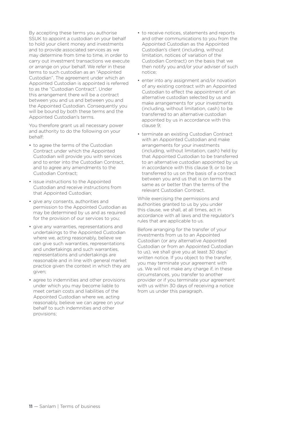By accepting these terms you authorise SSUK to appoint a custodian on your behalf to hold your client money and investments and to provide associated services as we may determine from time to time, in order to carry out investment transactions we execute or arrange on your behalf. We refer in these terms to such custodian as an "Appointed Custodian". The agreement under which an Appointed Custodian is appointed is referred to as the "Custodian Contract". Under this arrangement there will be a contract between you and us and between you and the Appointed Custodian. Consequently you will be bound by both these terms and the Appointed Custodian's terms.

You therefore grant us all necessary power and authority to do the following on your behalf:

- to agree the terms of the Custodian Contract under which the Appointed Custodian will provide you with services and to enter into the Custodian Contract, and to agree any amendments to the Custodian Contract;
- issue instructions to the Appointed Custodian and receive instructions from that Appointed Custodian;
- give any consents, authorities and permission to the Appointed Custodian as may be determined by us and as required for the provision of our services to you;
- give any warranties, representations and undertakings to the Appointed Custodian where we, acting reasonably, believe we can give such warranties, representations and undertakings and such warranties, representations and undertakings are reasonable and in line with general market practice given the context in which they are given;
- agree to indemnities and other provisions under which you may become liable to meet certain costs and liabilities of the Appointed Custodian where we, acting reasonably, believe we can agree on your behalf to such indemnities and other provisions;
- to receive notices, statements and reports and other communications to you from the Appointed Custodian as the Appointed Custodian's client (including, without limitation, notices of variation of the Custodian Contract) on the basis that we then notify you and/or your adviser of such notice;
- enter into any assignment and/or novation of any existing contract with an Appointed Custodian to effect the appointment of an alternative custodian selected by us and make arrangements for your investments (including, without limitation, cash) to be transferred to an alternative custodian appointed by us in accordance with this clause 9;
- terminate an existing Custodian Contract with an Appointed Custodian and make arrangements for your investments (including, without limitation, cash) held by that Appointed Custodian to be transferred to an alternative custodian appointed by us in accordance with this clause 9, or to be transferred to us on the basis of a contract between you and us that is on terms the same as or better than the terms of the relevant Custodian Contract.

While exercising the permissions and authorities granted to us by you under this clause, we shall, at all times, act in accordance with all laws and the regulator's rules that are applicable to us.

Before arranging for the transfer of your investments from us to an Appointed Custodian (or any alternative Appointed Custodian or from an Appointed Custodian to us), we shall give you at least 30 days' written notice. If you object to the transfer, you may terminate your agreement with us. We will not make any charge if, in these circumstances, you transfer to another provider or if you terminate your agreement with us within 30 days of receiving a notice from us under this paragraph.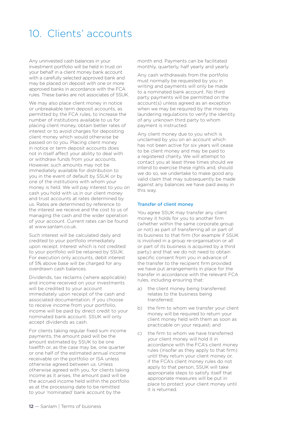### 10. Clients' accounts

Any uninvested cash balances in your investment portfolio will be held in trust on your behalf in a client money bank account with a carefully selected approved bank and may be placed on deposit with one or more approved banks in accordance with the FCA rules. These banks are not associates of SSUK.

We may also place client money in notice or unbreakable term deposit accounts, as permitted by the FCA rules, to increase the number of institutions available to us for placing client money, obtain better rates of interest or to avoid charges for depositing client money which would otherwise be passed on to you. Placing client money in notice or term deposit accounts does not in itself affect your ability to deal with or withdraw funds from your accounts. However, such amounts may not be immediately available for distribution to you in the event of default by SSUK or by one of the institutions with whom your money is held. We will pay interest to you on cash you hold with us in our client money and trust accounts at rates determined by us. Rates are determined by reference to the interest we receive and the cost to us of managing the cash and the wider operation of your account. Current rates can be found at www.sanlam.co.uk.

Such interest will be calculated daily and credited to your portfolio immediately upon receipt. Interest which is not credited to your portfolio will be retained by SSUK. For execution only accounts, debit interest of 5% above base will be charged for any overdrawn cash balances.

Dividends, tax reclaims (where applicable) and income received on your investments will be credited to your account immediately upon receipt of the cash and associated documentation. If you choose to receive income from your portfolio, income will be paid by direct credit to your nominated bank account. SSUK will only accept dividends as cash.

For clients taking regular fixed sum income payments, the amount paid will be the amount estimated by SSUK to be one twelfth or, as the case may be, one quarter or one half of the estimated annual income receivable on the portfolio or ISA unless otherwise agreed between us. Unless otherwise agreed with you, for clients taking income as it arises, the amount paid will be the accrued income held within the portfolio as at the processing date to be remitted to your 'nominated' bank account by the

month end. Payments can be facilitated monthly, quarterly, half yearly and yearly.

Any cash withdrawals from the portfolio must normally be requested by you in writing and payments will only be made to a nominated bank account. No third party payments will be permitted on the account(s) unless agreed as an exception when we may be required by the money laundering regulations to verify the identity of any unknown third party to whom payment is instructed.

Any client money due to you which is unclaimed by you on an account which has not been active for six years will cease to be client money and may be paid to a registered charity. We will attempt to contact you at least three times should we intend to exercise these rights and, should we do so, we undertake to make good any valid claim that may subsequently be made against any balances we have paid away in this way.

#### Transfer of client money

You agree SSUK may transfer any client money it holds for you to another firm (whether within the same corporate group or not) as part of transferring all or part of its business to that firm (for example if SSUK is involved in a group re-organisation or all or part of its business is acquired by a third party) and that we do not need to obtain specific consent from you in advance of the transfer to the recipient firm provided we have put arrangements in place for the transfer in accordance with the relevant FCA rules, including ensuring that:

- a) the client money being transferred relates to the business being transferred;
- b) the firm to whom we transfer your client money will be required to return your client money held with them as soon as practicable on your request; and
- c) the firm to whom we have transferred your client money will hold it in accordance with the FCA's client money rules (insofar as they apply to that firm) until they return your client money or, if the FCA's client money rules do not apply to that person, SSUK will take appropriate steps to satisfy itself that appropriate measures will be put in place to protect your client money until it is returned.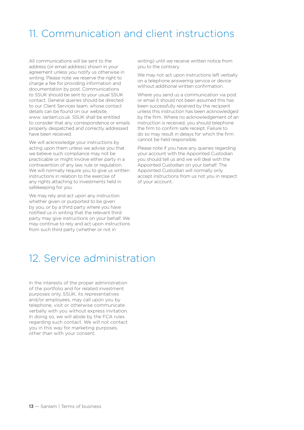### 11. Communication and client instructions

All communications will be sent to the address (or email address) shown in your agreement unless you notify us otherwise in writing. Please note we reserve the right to charge a fee for providing information and documentation by post. Communications to SSUK should be sent to your usual SSUK contact. General queries should be directed to our Client Services team, whose contact details can be found on our website, www. sanlam.co.uk. SSUK shall be entitled to consider that any correspondence or emails properly despatched and correctly addressed have been received.

We will acknowledge your instructions by acting upon them unless we advise you that we believe such compliance may not be practicable or might involve either party in a contravention of any law, rule or regulation. We will normally require you to give us written instructions in relation to the exercise of any rights attaching to investments held in safekeeping for you.

We may rely and act upon any instruction whether given or purported to be given by you, or by a third party where you have notified us in writing that the relevant third party may give instructions on your behalf. We may continue to rely and act upon instructions from such third party (whether or not in

writing) until we receive written notice from you to the contrary.

We may not act upon instructions left verbally on a telephone answering service or device without additional written confirmation.

Where you send us a communication via post or email it should not been assumed this has been successfully received by the recipient unless this instruction has been acknowledged by the firm. Where no acknowledgement of an instruction is received, you should telephone the firm to confirm safe receipt. Failure to do so may result in delays for which the firm cannot be held responsible.

Please note if you have any queries regarding your account with the Appointed Custodian you should tell us and we will deal with the Appointed Custodian on your behalf. The Appointed Custodian will normally only accept instructions from us not you in respect of your account.

### 12. Service administration

In the interests of the proper administration of the portfolio and for related investment purposes only, SSUK, its representatives and/or employees, may call upon you by telephone, visit or otherwise communicate verbally with you without express invitation. In doing so, we will abide by the FCA rules regarding such contact. We will not contact you in this way for marketing purposes, other than with your consent.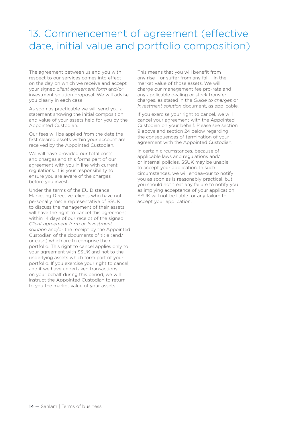### 13. Commencement of agreement (effective date, initial value and portfolio composition)

The agreement between us and you with respect to our services comes into effect on the day on which we receive and accept your signed *client agreement form* and/or investment solution proposal. We will advise you clearly in each case.

As soon as practicable we will send you a statement showing the initial composition and value of your assets held for you by the Appointed Custodian.

Our fees will be applied from the date the first cleared assets within your account are received by the Appointed Custodian.

We will have provided our total costs and charges and this forms part of our agreement with you in line with current regulations. It is your responsibility to ensure you are aware of the charges before you invest.

Under the terms of the EU Distance Marketing Directive, clients who have not personally met a representative of SSUK to discuss the management of their assets will have the right to cancel this agreement within 14 days of our receipt of the signed *Client agreement form* or *Investment solution* and/or the receipt by the Appointed Custodian of the documents of title (and/ or cash) which are to comprise their portfolio. This right to cancel applies only to your agreement with SSUK and not to the underlying assets which form part of your portfolio. If you exercise your right to cancel, and if we have undertaken transactions on your behalf during this period, we will instruct the Appointed Custodian to return to you the market value of your assets.

This means that you will benefit from any rise – or suffer from any fall – in the market value of those assets. We will charge our management fee pro-rata and any applicable dealing or stock transfer charges, as stated in the *Guide to charges* or *Investment solution* document, as applicable.

If you exercise your right to cancel, we will cancel your agreement with the Appointed Custodian on your behalf. Please see section 9 above and section 24 below regarding the consequences of termination of your agreement with the Appointed Custodian.

In certain circumstances, because of applicable laws and regulations and/ or internal policies, SSUK may be unable to accept your application. In such circumstances, we will endeavour to notify you as soon as is reasonably practical, but you should not treat any failure to notify you as implying acceptance of your application. SSUK will not be liable for any failure to accept your application.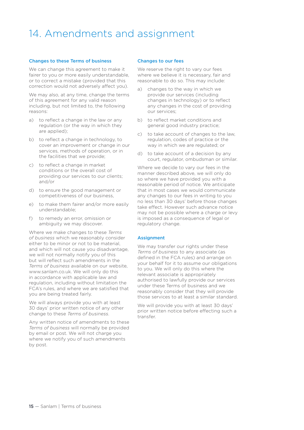### 14. Amendments and assignment

#### Changes to these Terms of business

We can change this agreement to make it fairer to you or more easily understandable, or to correct a mistake (provided that this correction would not adversely affect you).

We may also, at any time, change the terms of this agreement for any valid reason including, but not limited to, the following reasons:

- a) to reflect a change in the law or any regulation (or the way in which they are applied);
- b) to reflect a change in technology, to cover an improvement or change in our services, methods of operation, or in the facilities that we provide;
- c) to reflect a change in market conditions or the overall cost of providing our services to our clients; and/or
- d) to ensure the good management or competitiveness of our business,
- e) to make them fairer and/or more easily understandable;
- f) to remedy an error, omission or ambiguity we may discover.

Where we make changes to these *Terms of business* which we reasonably consider either to be minor or not to be material, and which will not cause you disadvantage, we will not normally notify you of this but will reflect such amendments in the *Terms of business* available on our website, www.sanlam.co.uk. We will only do this in accordance with applicable law and regulation, including without limitation the FCA's rules, and where we are satisfied that you are being treated fairly.

We will always provide you with at least 30 days' prior written notice of any other change to these *Terms of business*.

Any written notice of amendments to these *Terms of business* will normally be provided by email or post. We will not charge you where we notify you of such amendments by post.

#### Changes to our fees

We reserve the right to vary our fees where we believe it is necessary, fair and reasonable to do so. This may include:

- a) changes to the way in which we provide our services (including changes in technology) or to reflect any changes in the cost of providing our services;
- b) to reflect market conditions and general good industry practice;
- c) to take account of changes to the law, regulation, codes of practice or the way in which we are regulated; or
- d) to take account of a decision by any court, regulator, ombudsman or similar.

Where we decide to vary our fees in the manner described above, we will only do so where we have provided you with a reasonable period of notice. We anticipate that in most cases we would communicate any changes to our fees in writing to you no less than 30 days' before those changes take effect. However such advance notice may not be possible where a charge or levy is imposed as a consequence of legal or regulatory change.

#### **Assignment**

We may transfer our rights under these *Terms of business* to any associate (as defined in the FCA rules) and arrange on your behalf for it to assume our obligations to you. We will only do this where the relevant associate is appropriately authorised to lawfully provide our services under these Terms of business and we reasonably consider that they will provide those services to at least a similar standard.

We will provide you with at least 30 days' prior written notice before effecting such a transfer.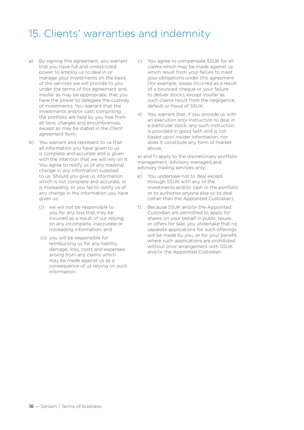### 15. Clients' warranties and indemnity

- a) By signing this agreement, you warrant that you have full and unrestricted power to employ us to deal in or manage your investments on the basis of the services we will provide to you under the terms of this agreement and, insofar as may be appropriate, that you have the power to delegate the custody of investments. You warrant that the investments and/or cash comprising the portfolio are held by you free from all liens, charges and encumbrances, except as may be stated in the *Client agreement form*.
- b) You warrant and represent to us that all information you have given to us is complete and accurate and is given with the intention that we will rely on it. You agree to notify us of any material change in any information supplied to us. Should you give us information which is not complete and accurate, or is misleading, or you fail to notify us of any change in the information you have given us:
	- (i) we will not be responsible to you for any loss that may be incurred as a result of our relying on any incomplete, inaccurate or misleading information; and
	- (ii) you will be responsible for reimbursing us for any liability, damage, loss, costs and expenses arising from any claims which may be made against us as a consequence of us relying on such information.
- c) You agree to compensate SSUK for all claims which may be made against us which result from your failure to meet your obligations under this agreement (for example, losses incurred as a result of a bounced cheque or your failure to deliver stock), except insofar as such claims result from the negligence, default or fraud of SSUK.
- d) You warrant that, if you provide us with an execution only instruction to deal in a particular stock, any such instruction is provided in good faith and is not based upon insider information, nor does it constitute any form of market abuse.

e) and f) apply to the discretionary portfolio management, advisory managed and advisory trading services only:

- e) You undertake not to deal except through SSUK with any of the investments and/or cash in the portfolio or to authorise anyone else so to deal (other than the Appointed Custodian).
- f) Because SSUK and/or the Appointed Custodian are permitted to apply for shares on your behalf in public issues or offers for sale, you undertake that no separate applications for such offerings will be made by you, or for your benefit. where such applications are prohibited without prior arrangement with SSUK and/or the Appointed Custodian.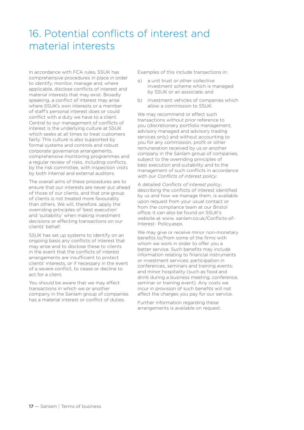## 16. Potential conflicts of interest and material interests

In accordance with FCA rules, SSUK has comprehensive procedures in place in order to identify, monitor, manage and, where applicable, disclose conflicts of interest and material interests that may exist. Broadly speaking, a conflict of interest may arise where SSUK's own interests or a member of staff's personal interest does or could conflict with a duty we have to a client. Central to our management of conflicts of interest is the underlying culture at SSUK which seeks at all times to treat customers fairly. This culture is also supported by formal systems and controls and robust corporate governance arrangements, comprehensive monitoring programmes and a regular review of risks, including conflicts, by the risk committee, with inspection visits by both internal and external auditors.

The overall aims of these procedures are to ensure that our interests are never put ahead of those of our clients, and that one group of clients is not treated more favourably than others. We will, therefore, apply the overriding principles of 'best execution' and 'suitability' when making investment decisions or effecting transactions on our clients' behalf.

SSUK has set up systems to identify on an ongoing basis any conflicts of interest that may arise and to disclose these to clients in the event that the conflicts of interest arrangements are insufficient to protect clients' interests, or if necessary in the event of a severe conflict, to cease or decline to act for a client.

You should be aware that we may effect transactions in which we or another company in the Sanlam group of companies has a material interest or conflict of duties.

Examples of this include transactions in:

- a) a unit trust or other collective investment scheme which is managed by SSUK or an associate; and
- b) investment vehicles of companies which allow a commission to SSUK.

We may recommend or effect such transactions without prior reference to you (discretionary portfolio management, advisory managed and advisory trading services only) and without accounting to you for any commission, profit or other remuneration received by us or another company in the Sanlam group of companies, subject to the overriding principles of best execution and suitability and to the management of such conflicts in accordance with our *Conflicts of interest policy*.

A detailed *Conflicts of interest policy*, describing the conflicts of interest identified by us and how we manage them, is available upon request from your usual contact or from the compliance team at our Bristol office; it can also be found on SSUK's website at www. sanlam.co.uk/Conflicts-of-Interest- Policy.aspx.

We may give or receive minor non-monetary benefits to/from some of the firms with whom we work in order to offer you a better service. Such benefits may include information relating to financial instruments or investment services; participation in conferences, seminars and training events; and minor hospitality (such as food and drink during a business meeting, conference, seminar or training event). Any costs we incur in provision of such benefits will not affect the charges you pay for our service.

Further information regarding these arrangements is available on request.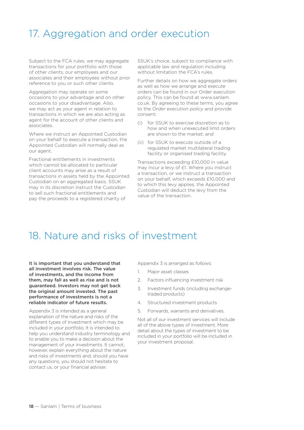### 17. Aggregation and order execution

Subject to the FCA rules, we may aggregate transactions for your portfolio with those of other clients, our employees and our associates and their employees without prior reference to you or such other clients.

Aggregation may operate on some occasions to your advantage and on other occasions to your disadvantage. Also, we may act as your agent in relation to transactions in which we are also acting as agent for the account of other clients and associates.

Where we instruct an Appointed Custodian on your behalf to execute a transaction, the Appointed Custodian will normally deal as our agent.

Fractional entitlements in investments which cannot be allocated to particular client accounts may arise as a result of transactions in assets held by the Appointed Custodian on an aggregated basis. SSUK may in its discretion instruct the Custodian to sell such fractional entitlements and pay the proceeds to a registered charity of

SSUK's choice, subject to compliance with applicable law and regulation including without limitation the FCA's rules.

Further details on how we aggregate orders as well as how we arrange and execute orders can be found in our Order execution policy. This can be found at www.sanlam. co.uk. By agreeing to these terms, you agree to the *Order execution policy* and provide consent:

- (i) for SSUK to exercise discretion as to how and when unexecuted limit orders are shown to the market; and
- (ii) for SSUK to execute outside of a regulated market multilateral trading facility or organised trading facility.

Transactions exceeding £10,000 in value may incur a levy of £1. Where you instruct a transaction, or we instruct a transaction on your behalf, which exceeds £10,000 and to which this levy applies, the Appointed Custodian will deduct the levy from the value of the transaction.

### 18. Nature and risks of investment

It is important that you understand that all investment involves risk. The value of investments, and the income from them, may fall as well as rise and is not guaranteed. Investors may not get back the original amount invested. The past performance of investments is not a reliable indicator of future results.

Appendix 3 is intended as a general explanation of the nature and risks of the different types of investment which may be included in your portfolio. It is intended to help you understand industry terminology and to enable you to make a decision about the management of your investments. It cannot, however, explain everything about the nature and risks of investments and, should you have any questions, you should not hesitate to contact us, or your financial adviser.

Appendix 3 is arranged as follows:

- 1. Major asset classes
- 2. Factors influencing investment risk
- 3. Investment funds (including exchangetraded products)
- 4. Structured investment products
- 5. Forwards, warrants and derivatives.

Not all of our investment services will include all of the above types of investment. More detail about the types of investment to be included in your portfolio will be included in your investment proposal.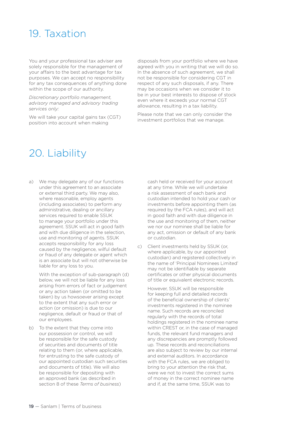### 19. Taxation

You and your professional tax adviser are solely responsible for the management of your affairs to the best advantage for tax purposes. We can accept no responsibility for any tax consequences of anything done within the scope of our authority.

*Discretionary portfolio management, advisory managed and advisory trading services only:*

We will take your capital gains tax (CGT) position into account when making

disposals from your portfolio where we have agreed with you in writing that we will do so. In the absence of such agreement, we shall not be responsible for considering CGT in respect of any such disposals, if any. There may be occasions when we consider it to be in your best interests to dispose of stock even where it exceeds your normal CGT allowance, resulting in a tax liability.

Please note that we can only consider the investment portfolios that we manage.

### 20. Liability

a) We may delegate any of our functions under this agreement to an associate or external third party. We may also, where reasonable, employ agents (including associates) to perform any administrative, dealing or ancillary services required to enable SSUK to manage your portfolio under this agreement. SSUK will act in good faith and with due diligence in the selection, use and monitoring of agents. SSUK accepts responsibility for any loss caused by the negligence, wilful default or fraud of any delegate or agent which is an associate but will not otherwise be liable for any loss to you.

With the exception of sub-paragraph (d) below, we will not be liable for any loss arising from errors of fact or judgement or any action taken (or omitted to be taken) by us howsoever arising except to the extent that any such error or action (or omission) is due to our negligence, default or fraud or that of our employees.

b) To the extent that they come into our possession or control, we will be responsible for the safe custody of securities and documents of title relating to them (or, where applicable, for entrusting to the safe custody of our appointed custodian such securities and documents of title). We will also be responsible for depositing with an approved bank (as described in section 8 of these *Terms of business*)

cash held or received for your account at any time. While we will undertake a risk assessment of each bank and custodian intended to hold your cash or investments before appointing them (as required by the FCA rules), and will act in good faith and with due diligence in the use and monitoring of them, neither we nor our nominee shall be liable for any act, omission or default of any bank or custodian.

c) Client investments held by SSUK (or, where applicable, by our appointed custodian) and registered collectively in the name of 'Principal Nominees Limited' may not be identifiable by separate certificates or other physical documents of title or equivalent electronic records.

However, SSUK will be responsible for keeping full and detailed records of the beneficial ownership of clients' investments registered in the nominee name. Such records are reconciled regularly with the records of total holdings registered in the nominee name within CREST or, in the case of managed funds, the relevant fund managers and any discrepancies are promptly followed up. These records and reconciliations are also subject to review by our internal and external auditors. In accordance with the FCA rules, we are obliged to bring to your attention the risk that, were we not to invest the correct sums of money in the correct nominee name and if, at the same time, SSUK was to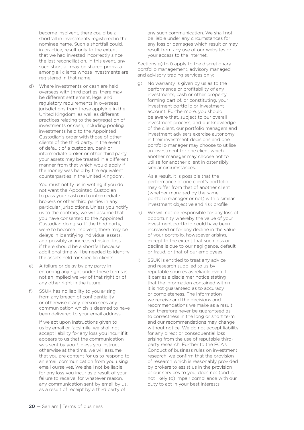become insolvent, there could be a shortfall in investments registered in the nominee name. Such a shortfall could, in practice, result only to the extent that we had invested incorrectly since the last reconciliation. In this event, any such shortfall may be shared pro-rata among all clients whose investments are registered in that name.

d) Where investments or cash are held overseas with third parties, there may be different settlement, legal and regulatory requirements in overseas jurisdictions from those applying in the United Kingdom, as well as different practices relating to the segregation of investments or cash, including pooling investments held to the Appointed Custodian's order with those of other clients of the third party. In the event of default of a custodian, bank or intermediate broker or other third party, your assets may be treated in a different manner from that which would apply if the money was held by the equivalent counterparties in the United Kingdom.

You must notify us in writing if you do not want the Appointed Custodian to pass your cash on to intermediate brokers or other third parties in any particular jurisdictions. Unless you notify us to the contrary, we will assume that you have consented to the Appointed Custodian doing so. If the third party, were to become insolvent, there may be delays in identifying individual assets, and possibly an increased risk of loss if there should be a shortfall because additional time will be needed to identify the assets held for specific clients.

- e) A failure or delay by any party in enforcing any right under these terms is not an implied waiver of that right or of any other right in the future.
- f) SSUK has no liability to you arising from any breach of confidentiality or otherwise if any person sees any communication which is deemed to have been delivered to your email address.

If we act upon instructions given to us by email or facsimile, we shall not accept liability for any loss you incur if it appears to us that the communication was sent by you. Unless you instruct otherwise at the time, we will assume that you are content for us to respond to an email communication from you using email ourselves. We shall not be liable for any loss you incur as a result of your failure to receive, for whatever reason. any communication sent by email by us, as a result of receipt by a third party of

any such communication. We shall not be liable under any circumstances for any loss or damages which result or may result from any use of our websites or your access to the internet.

Sections g) to i) apply to the discretionary portfolio management, advisory managed and advisory trading services only:

g) No warranty is given by us as to the performance or profitability of any investments, cash or other property forming part of, or constituting, your investment portfolio or investment account. Furthermore, you should be aware that, subject to our overall investment process, and our knowledge of the client, our portfolio managers and investment advisers exercise autonomy in their investment decisions and one portfolio manager may choose to utilise an investment for one client which another manager may choose not to utilise for another client in ostensibly similar circumstances.

As a result, it is possible that the performance of one client's portfolio may differ from that of another client (whether managed by the same portfolio manager or not) with a similar investment objective and risk profile.

- h) We will not be responsible for any loss of opportunity whereby the value of your investment portfolio could have been increased or for any decline in the value of your portfolio, howsoever arising, except to the extent that such loss or decline is due to our negligence, default or fraud, or that of our employees.
- i) SSUK is entitled to treat any advice and research supplied to us by reputable sources as reliable even if it carries a disclaimer notice stating that the information contained within it is not guaranteed as to accuracy or completeness. The information we receive and the decisions and recommendations we make as a result can therefore never be guaranteed as to correctness in the long or short term and our recommendations may change without notice. We do not accept liability for any direct or consequential loss arising from the use of reputable thirdparty research. Further to the FCA's Conduct of business rules on investment research, we confirm that the provision of research which is reasonably provided by brokers to assist us in the provision of our services to you, does not (and is not likely to) impair compliance with our duty to act in your best interests.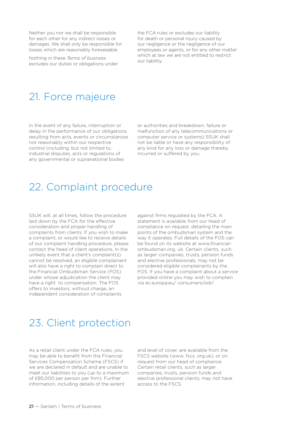Neither you nor we shall be responsible for each other for any indirect losses or damages. We shall only be responsible for losses which are reasonably foreseeable.

Nothing in these *Terms of business* excludes our duties or obligations under

the FCA rules or excludes our liability for death or personal injury caused by our negligence or the negligence of our employees or agents, or for any other matter which at law we are not entitled to restrict our liability.

### 21. Force majeure

In the event of any failure, interruption or delay in the performance of our obligations resulting from acts, events or circumstances not reasonably within our respective control (including, but not limited to, industrial disputes, acts or regulations of any governmental or supranational bodies

or authorities and breakdown, failure or malfunction of any telecommunications or computer service or systems) SSUK shall not be liable or have any responsibility of any kind for any loss or damage thereby incurred or suffered by you.

### 22. Complaint procedure

SSUK will, at all times, follow the procedure laid down by the FCA for the effective consideration and proper handling of complaints from clients. If you wish to make a complaint, or would like to receive details of our complaint handling procedure, please contact the head of client operations. In the unlikely event that a client's complaint(s) cannot be resolved, an eligible complainant will also have a right to complain direct to the Financial Ombudsman Service (FOS) under whose adjudication the client may have a right to compensation. The FOS offers to investors, without charge, an independent consideration of complaints

against firms regulated by the FCA. A statement is available from our head of compliance on request, detailing the main points of the ombudsman system and the way it operates. Full details of the FOS can be found on its website at www.financialombudsman.org. uk. Certain clients, such as larger companies, trusts, pension funds and elective professionals, may not be considered eligible complainants by the FOS. If you have a complaint about a service provided online you may wish to complain via ec.europa.eu/ consumers/odr/

### 23. Client protection

As a retail client under the FCA rules, you may be able to benefit from the Financial Services Compensation Scheme (FSCS) if we are declared in default and are unable to meet our liabilities to you (up to a maximum of £85,000 per person per firm). Further information, including details of the extent

and level of cover, are available from the FSCS website (www. fscs. org.uk), or on request from our head of compliance. Certain retail clients, such as larger companies, trusts, pension funds and elective professional clients, may not have access to the FSCS.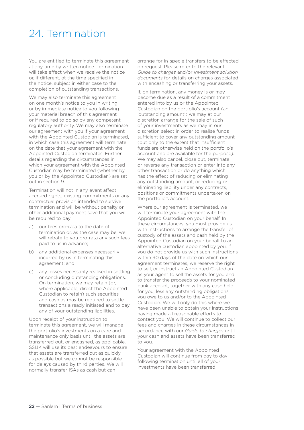### 24. Termination

You are entitled to terminate this agreement at any time by written notice. Termination will take effect when we receive the notice or, if different, at the time specified in the notice, subject in either case to the completion of outstanding transactions.

We may also terminate this agreement on one month's notice to you in writing, or by immediate notice to you following your material breach of this agreement or if required to do so by any competent regulatory authority. We may also terminate our agreement with you if your agreement with the Appointed Custodian is terminated, in which case this agreement will terminate on the date that your agreement with the Appointed Custodian terminates. Further details regarding the circumstances in which your agreement with the Appointed Custodian may be terminated (whether by you or by the Appointed Custodian) are set out in section 9.

Termination will not in any event affect accrued rights, existing commitments or any contractual provision intended to survive termination and will be without penalty or other additional payment save that you will be required to pay:

- a) our fees pro-rata to the date of termination or, as the case may be, we will rebate to you pro-rata any such fees paid to us in advance;
- b) any additional expenses necessarily incurred by us in terminating this agreement; and
- c) any losses necessarily realised in settling or concluding outstanding obligations. On termination, we may retain (or, where applicable, direct the Appointed Custodian to retain) such securities and cash as may be required to settle transactions already initiated and to pay any of your outstanding liabilities.

Upon receipt of your instruction to terminate this agreement, we will manage the portfolio's investments on a care and maintenance only basis until the assets are transferred out, or encashed, as applicable. SSUK will use its best endeavours to ensure that assets are transferred out as quickly as possible but we cannot be responsible for delays caused by third parties. We will normally transfer ISAs as cash but can

arrange for in-specie transfers to be effected on request. Please refer to the relevant *Guide to charges* and/or *Investment solution documents* for details on charges associated with encashing or transferring your assets.

If, on termination, any money is or may become due as a result of a commitment entered into by us or the Appointed Custodian on the portfolio's account (an 'outstanding amount') we may at our discretion arrange for the sale of such of your investments as we may in our discretion select in order to realise funds sufficient to cover any outstanding amount (but only to the extent that insufficient funds are otherwise held on the portfolio's account and are available for the purpose). We may also cancel, close out, terminate or reverse any transaction or enter into any other transaction or do anything which has the effect of reducing or eliminating any outstanding amount, or reducing or eliminating liability under any contracts, positions or commitments undertaken on the portfolio's account.

Where our agreement is terminated, we will terminate your agreement with the Appointed Custodian on your behalf. In these circumstances, you must provide us with instructions to arrange the transfer of custody of the assets and cash held by the Appointed Custodian on your behalf to an alternative custodian appointed by you. If you do not provide us with such instructions within 90 days of the date on which our agreement terminates, we reserve the right to sell, or instruct an Appointed Custodian as your agent to sell the assets for you and to transfer the proceeds to your nominated bank account, together with any cash held for you, less any outstanding obligations you owe to us and/or to the Appointed Custodian. We will only do this where we have been unable to obtain your instructions having made all reasonable efforts to contact you. We will continue to collect our fees and charges in these circumstances in accordance with our *Guide to charges* until your cash and assets have been transferred to you.

Your agreement with the Appointed Custodian will continue from day to day following termination until all of your investments have been transferred.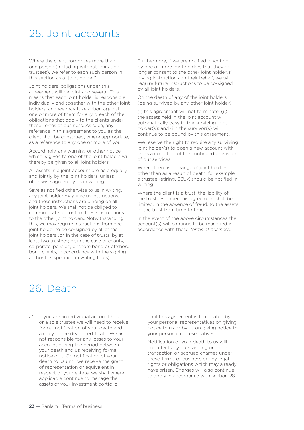### 25. Joint accounts

Where the client comprises more than one person (including without limitation trustees), we refer to each such person in this section as a "joint holder".

Joint holders' obligations under this agreement will be joint and several. This means that each joint holder is responsible individually and together with the other joint holders, and we may take action against one or more of them for any breach of the obligations that apply to the clients under these Terms of business. As such, any reference in this agreement to you as the client shall be construed, where appropriate, as a reference to any one or more of you.

Accordingly, any warning or other notice which is given to one of the joint holders will thereby be given to all joint holders.

All assets in a joint account are held equally and jointly by the joint holders, unless otherwise agreed by us in writing.

Save as notified otherwise to us in writing, any joint holder may give us instructions, and these instructions are binding on all joint holders. We shall not be obliged to communicate or confirm these instructions to the other joint holders. Notwithstanding this, we may require instructions from one joint holder to be co-signed by all of the joint holders (or, in the case of trusts, by at least two trustees; or, in the case of charity, corporate, pension, onshore bond or offshore bond clients, in accordance with the signing authorities specified in writing to us).

Furthermore, if we are notified in writing by one or more joint holders that they no longer consent to the other joint holder(s) giving instructions on their behalf, we will require future instructions to be co-signed by all joint holders.

On the death of any of the joint holders (being survived by any other joint holder):

(i) this agreement will not terminate; (ii) the assets held in the joint account will automatically pass to the surviving joint holder(s); and (iii) the survivor(s) will continue to be bound by this agreement.

We reserve the right to require any surviving joint holder(s) to open a new account with us as a condition of the continued provision of our services.

Where there is a change of joint holders other than as a result of death, for example a trustee retiring, SSUK should be notified in writing.

Where the client is a trust, the liability of the trustees under this agreement shall be limited, in the absence of fraud, to the assets of the trust from time to time.

In the event of the above circumstances the account(s) will continue to be managed in accordance with these *Terms of business*.

### 26. Death

a) If you are an individual account holder or a sole trustee we will need to receive formal notification of your death and a copy of the death certificate. We are not responsible for any losses to your account during the period between your death and us receiving formal notice of it. On notification of your death to us until we receive the grant of representation or equivalent in respect of your estate, we shall where applicable continue to manage the assets of your investment portfolio

until this agreement is terminated by your personal representatives on giving notice to us or by us on giving notice to your personal representatives.

Notification of your death to us will not affect any outstanding order or transaction or accrued charges under these Terms of business or any legal rights or obligations which may already have arisen. Charges will also continue to apply in accordance with section 28.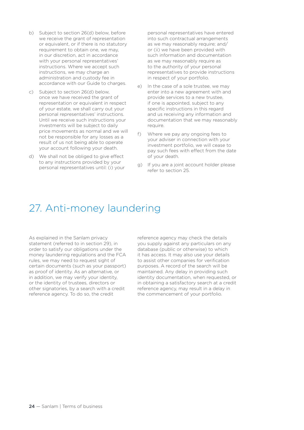- b) Subject to section 26(d) below, before we receive the grant of representation or equivalent, or if there is no statutory requirement to obtain one, we may. in our discretion, act in accordance with your personal representatives' instructions. Where we accept such instructions, we may charge an administration and custody fee in accordance with our Guide to charges.
- c) Subject to section 26(d) below, once we have received the grant of representation or equivalent in respect of your estate, we shall carry out your personal representatives' instructions. Until we receive such instructions your investments will be subject to daily price movements as normal and we will not be responsible for any losses as a result of us not being able to operate your account following your death.
- d) We shall not be obliged to give effect to any instructions provided by your personal representatives until: (i) your

personal representatives have entered into such contractual arrangements as we may reasonably require; and/ or (ii) we have been provided with such information and documentation as we may reasonably require as to the authority of your personal representatives to provide instructions in respect of your portfolio.

- e) In the case of a sole trustee, we may enter into a new agreement with and provide services to a new trustee, if one is appointed, subject to any specific instructions in this regard and us receiving any information and documentation that we may reasonably require.
- f) Where we pay any ongoing fees to your adviser in connection with your investment portfolio, we will cease to pay such fees with effect from the date of your death.
- g) If you are a joint account holder please refer to section 25.

### 27. Anti-money laundering

As explained in the Sanlam privacy statement (referred to in section 29), in order to satisfy our obligations under the money laundering regulations and the FCA rules, we may need to request sight of certain documents (such as your passport) as proof of identity. As an alternative, or in addition, we may verify your identity, or the identity of trustees, directors or other signatories, by a search with a credit reference agency. To do so, the credit

reference agency may check the details you supply against any particulars on any database (public or otherwise) to which it has access. It may also use your details to assist other companies for verification purposes. A record of the search will be maintained. Any delay in providing such identity documentation, when requested, or in obtaining a satisfactory search at a credit reference agency, may result in a delay in the commencement of your portfolio.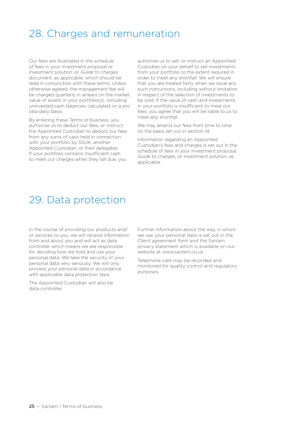### 28. Charges and remuneration

Our fees are illustrated in the schedule of fees in your investment proposal or *Investment solution*, or *Guide to charges* document, as applicable, which should be read in conjunction with these terms. Unless otherwise agreed, the management fee will be charged quarterly in arrears on the market value of assets in your portfolio(s), including uninvested cash balances, calculated on a pro rata daily basis.

By entering these *Terms of business*, you authorise us to deduct our fees, or instruct the Appointed Custodian to deduct our fees from any sums of cash held in connection with your portfolio by SSUK, another Appointed Custodian, or their delegates. If your portfolio contains insufficient cash to meet our charges when they fall due, you

authorise us to sell, or instruct an Appointed Custodian on your behalf to sell investments from your portfolio to the extent required in order to meet any shortfall. We will ensure that you are treated fairly when we issue any such instructions, including without limitation in respect of the selection of investments to be sold. If the value of cash and investments in your portfolio is insufficient to meet our fees, you agree that you will be liable to us to meet any shortfall.

We may amend our fees from time to time on the basis set out in section 14.

Information regarding an Appointed Custodian's fees and charges is set out in the schedule of fees in your investment proposal, *Guide to charges*, or *Investment solution*, as applicable.

### 29. Data protection

In the course of providing our products and/ or services to you, we will receive information from and about you and will act as data controller which means we are responsible for deciding how we hold and use your personal data. We take the security of your personal data very seriously. We will only process your personal data in accordance with applicable data protection laws.

The Appointed Custodian will also be data controller.

Further information about the way in which we use your personal data is set out in the *Client agreement form* and the Sanlam privacy statement which is available on our website at www.sanlam.co.uk.

Telephone calls may be recorded and monitored for quality control and regulatory purposes.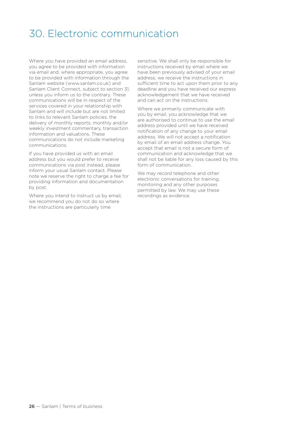### 30. Electronic communication

Where you have provided an email address, you agree to be provided with information via email and, where appropriate, you agree to be provided with information through the Sanlam website (www.sanlam.co.uk) and Sanlam Client Connect, subject to section 31, unless you inform us to the contrary. These communications will be in respect of the services covered in your relationship with Sanlam and will include but are not limited to links to relevant Sanlam policies, the delivery of monthly reports, monthly and/or weekly investment commentary, transaction information and valuations. These communications do not include marketing communications.

If you have provided us with an email address but you would prefer to receive communications via post instead, please inform your usual Sanlam contact. Please note we reserve the right to charge a fee for providing information and documentation by post.

Where you intend to instruct us by email, we recommend you do not do so where the instructions are particularly time

sensitive. We shall only be responsible for instructions received by email where we have been previously advised of your email address, we receive the instructions in sufficient time to act upon them prior to any deadline and you have received our express acknowledgement that we have received and can act on the instructions.

Where we primarily communicate with you by email, you acknowledge that we are authorised to continue to use the email address provided until we have received notification of any change to your email address. We will not accept a notification by email of an email address change. You accept that email is not a secure form of communication and acknowledge that we shall not be liable for any loss caused by this form of communication.

We may record telephone and other electronic conversations for training, monitoring and any other purposes permitted by law. We may use these recordings as evidence.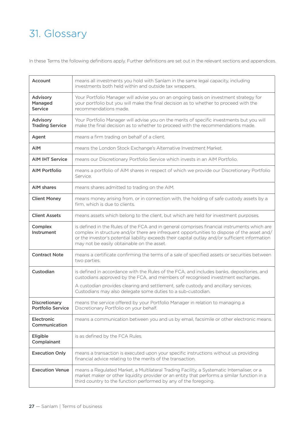## 31. Glossary

In these Terms the following definitions apply. Further definitions are set out in the relevant sections and appendices.

| Account                                   | means all investments you hold with Sanlam in the same legal capacity, including<br>investments both held within and outside tax wrappers.                                                                                                                                                                                                   |
|-------------------------------------------|----------------------------------------------------------------------------------------------------------------------------------------------------------------------------------------------------------------------------------------------------------------------------------------------------------------------------------------------|
| Advisory<br>Managed<br><b>Service</b>     | Your Portfolio Manager will advise you on an ongoing basis on investment strategy for<br>your portfolio but you will make the final decision as to whether to proceed with the<br>recommendations made.                                                                                                                                      |
| Advisory<br><b>Trading Service</b>        | Your Portfolio Manager will advise you on the merits of specific investments but you will<br>make the final decision as to whether to proceed with the recommendations made.                                                                                                                                                                 |
| Agent                                     | means a firm trading on behalf of a client.                                                                                                                                                                                                                                                                                                  |
| <b>AIM</b>                                | means the London Stock Exchange's Alternative Investment Market.                                                                                                                                                                                                                                                                             |
| <b>AIM IHT Service</b>                    | means our Discretionary Portfolio Service which invests in an AIM Portfolio.                                                                                                                                                                                                                                                                 |
| <b>AIM Portfolio</b>                      | means a portfolio of AIM shares in respect of which we provide our Discretionary Portfolio<br>Service.                                                                                                                                                                                                                                       |
| <b>AIM shares</b>                         | means shares admitted to trading on the AIM.                                                                                                                                                                                                                                                                                                 |
| <b>Client Money</b>                       | means money arising from, or in connection with, the holding of safe custody assets by a<br>firm, which is due to clients.                                                                                                                                                                                                                   |
| <b>Client Assets</b>                      | means assets which belong to the client, but which are held for investment purposes.                                                                                                                                                                                                                                                         |
| Complex<br><b>Instrument</b>              | is defined in the Rules of the FCA and in general comprises financial instruments which are<br>complex in structure and/or there are infrequent opportunities to dispose of the asset and/<br>or the investor's potential liability exceeds their capital outlay and/or sufficient information<br>may not be easily obtainable on the asset. |
| <b>Contract Note</b>                      | means a certificate confirming the terms of a sale of specified assets or securities between<br>two parties.                                                                                                                                                                                                                                 |
| Custodian                                 | is defined in accordance with the Rules of the FCA, and includes banks, depositories, and<br>custodians approved by the FCA, and members of recognised investment exchanges.                                                                                                                                                                 |
|                                           | A custodian provides clearing and settlement, safe custody and ancillary services.<br>Custodians may also delegate some duties to a sub-custodian.                                                                                                                                                                                           |
| Discretionary<br><b>Portfolio Service</b> | means the service offered by your Portfolio Manager in relation to managing a<br>Discretionary Portfolio on your behalf.                                                                                                                                                                                                                     |
| Electronic<br>Communication               | means a communication between you and us by email, facsimile or other electronic means.                                                                                                                                                                                                                                                      |
| Eligible<br>Complainant                   | is as defined by the FCA Rules.                                                                                                                                                                                                                                                                                                              |
| <b>Execution Only</b>                     | means a transaction is executed upon your specific instructions without us providing<br>financial advice relating to the merits of the transaction.                                                                                                                                                                                          |
| <b>Execution Venue</b>                    | means a Regulated Market, a Multilateral Trading Facility, a Systematic Internaliser, or a<br>market maker or other liquidity provider or an entity that performs a similar function in a<br>third country to the function performed by any of the foregoing.                                                                                |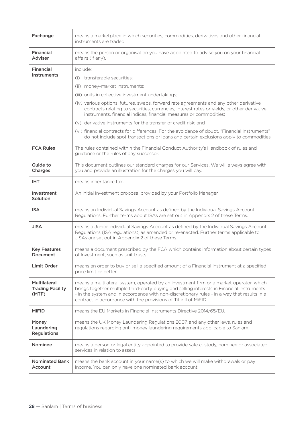| Exchange                                         | means a marketplace in which securities, commodities, derivatives and other financial<br>instruments are traded.                                                                                                                                                                                                                                         |
|--------------------------------------------------|----------------------------------------------------------------------------------------------------------------------------------------------------------------------------------------------------------------------------------------------------------------------------------------------------------------------------------------------------------|
| <b>Financial</b><br><b>Adviser</b>               | means the person or organisation you have appointed to advise you on your financial<br>affairs (if any).                                                                                                                                                                                                                                                 |
| <b>Financial</b>                                 | include:                                                                                                                                                                                                                                                                                                                                                 |
| Instruments                                      | (i) transferable securities;                                                                                                                                                                                                                                                                                                                             |
|                                                  | (ii) money-market instruments;                                                                                                                                                                                                                                                                                                                           |
|                                                  | (iii) units in collective investment undertakings;                                                                                                                                                                                                                                                                                                       |
|                                                  | (iv) various options, futures, swaps, forward rate agreements and any other derivative<br>contracts relating to securities, currencies, interest rates or yields, or other derivative<br>instruments, financial indices, financial measures or commodities;                                                                                              |
|                                                  | (v) derivative instruments for the transfer of credit risk; and                                                                                                                                                                                                                                                                                          |
|                                                  | (vi) financial contracts for differences. For the avoidance of doubt, "Financial Instruments"<br>do not include spot transactions or loans and certain exclusions apply to commodities.                                                                                                                                                                  |
| <b>FCA Rules</b>                                 | The rules contained within the Financial Conduct Authority's Handbook of rules and<br>guidance or the rules of any successor.                                                                                                                                                                                                                            |
| Guide to<br>Charges                              | This document outlines our standard charges for our Services. We will always agree with<br>you and provide an illustration for the charges you will pay.                                                                                                                                                                                                 |
| IHT.                                             | means inheritance tax.                                                                                                                                                                                                                                                                                                                                   |
| Investment<br>Solution                           | An initial investment proposal provided by your Portfolio Manager.                                                                                                                                                                                                                                                                                       |
| <b>ISA</b>                                       | means an Individual Savings Account as defined by the Individual Savings Account<br>Regulations. Further terms about ISAs are set out in Appendix 2 of these Terms.                                                                                                                                                                                      |
| <b>JISA</b>                                      | means a Junior Individual Savings Account as defined by the Individual Savings Account<br>Regulations (ISA regulations), as amended or re-enacted. Further terms applicable to<br>JISAs are set out in Appendix 2 of these Terms.                                                                                                                        |
| <b>Key Features</b><br>Document                  | means a document prescribed by the FCA which contains information about certain types<br>of Investment, such as unit trusts.                                                                                                                                                                                                                             |
| <b>Limit Order</b>                               | means an order to buy or sell a specified amount of a Financial Instrument at a specified<br>price limit or better.                                                                                                                                                                                                                                      |
| Multilateral<br><b>Trading Facility</b><br>(MTF) | means a multilateral system, operated by an investment firm or a market operator, which<br>brings together multiple third-party buying and selling interests in Financial Instruments<br>- in the system and in accordance with non-discretionary rules - in a way that results in a<br>contract in accordance with the provisions of Title II of MiFID. |
| <b>MiFID</b>                                     | means the EU Markets in Financial Instruments Directive 2014/65/EU.                                                                                                                                                                                                                                                                                      |
| Money<br>Laundering<br><b>Regulations</b>        | means the UK Money Laundering Regulations 2007, and any other laws, rules and<br>regulations regarding anti-money laundering requirements applicable to Sanlam.                                                                                                                                                                                          |
| <b>Nominee</b>                                   | means a person or legal entity appointed to provide safe custody, nominee or associated<br>services in relation to assets.                                                                                                                                                                                                                               |
| <b>Nominated Bank</b><br>Account                 | means the bank account in your name(s) to which we will make withdrawals or pay<br>income. You can only have one nominated bank account.                                                                                                                                                                                                                 |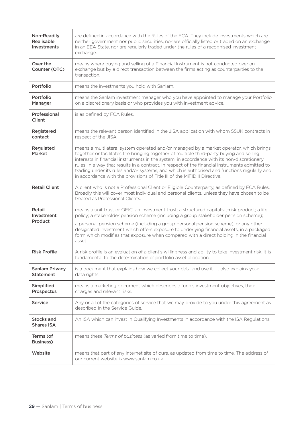| <b>Non-Readily</b><br><b>Realisable</b><br>Investments | are defined in accordance with the Rules of the FCA. They include Investments which are<br>neither government nor public securities, nor are officially listed or traded on an exchange<br>in an EEA State, nor are regularly traded under the rules of a recognised investment<br>exchange.                                                                                                                                                                                                                                                                    |
|--------------------------------------------------------|-----------------------------------------------------------------------------------------------------------------------------------------------------------------------------------------------------------------------------------------------------------------------------------------------------------------------------------------------------------------------------------------------------------------------------------------------------------------------------------------------------------------------------------------------------------------|
| Over the<br>Counter (OTC)                              | means where buying and selling of a Financial Instrument is not conducted over an<br>exchange but by a direct transaction between the firms acting as counterparties to the<br>transaction.                                                                                                                                                                                                                                                                                                                                                                     |
| Portfolio                                              | means the investments you hold with Sanlam.                                                                                                                                                                                                                                                                                                                                                                                                                                                                                                                     |
| Portfolio<br>Manager                                   | means the Sanlam investment manager who you have appointed to manage your Portfolio<br>on a discretionary basis or who provides you with investment advice.                                                                                                                                                                                                                                                                                                                                                                                                     |
| Professional<br><b>Client</b>                          | is as defined by FCA Rules.                                                                                                                                                                                                                                                                                                                                                                                                                                                                                                                                     |
| Registered<br>contact                                  | means the relevant person identified in the JISA application with whom SSUK contracts in<br>respect of the JISA.                                                                                                                                                                                                                                                                                                                                                                                                                                                |
| Regulated<br><b>Market</b>                             | means a multilateral system operated and/or managed by a market operator, which brings<br>together or facilitates the bringing together of multiple third-party buying and selling<br>interests in financial instruments in the system, in accordance with its non-discretionary<br>rules, in a way that results in a contract, in respect of the financial instruments admitted to<br>trading under its rules and/or systems, and which is authorised and functions regularly and<br>in accordance with the provisions of Title III of the MiFID II Directive. |
| <b>Retail Client</b>                                   | A client who is not a Professional Client or Eligible Counterparty, as defined by FCA Rules.<br>Broadly this will cover most individual and personal clients, unless they have chosen to be<br>treated as Professional Clients.                                                                                                                                                                                                                                                                                                                                 |
| Retail<br>Investment<br>Product                        | means a unit trust or OEIC; an investment trust; a structured capital-at-risk product; a life<br>policy; a stakeholder pension scheme (including a group stakeholder pension scheme);<br>a personal pension scheme (including a group personal pension scheme); or any other<br>designated investment which offers exposure to underlying financial assets, in a packaged<br>form which modifies that exposure when compared with a direct holding in the financial<br>asset.                                                                                   |
| <b>Risk Profile</b>                                    | A risk profile is an evaluation of a client's willingness and ability to take investment risk. It is<br>fundamental to the determination of portfolio asset allocation.                                                                                                                                                                                                                                                                                                                                                                                         |
| <b>Sanlam Privacy</b><br><b>Statement</b>              | is a document that explains how we collect your data and use it. It also explains your<br>data rights.                                                                                                                                                                                                                                                                                                                                                                                                                                                          |
| Simplified<br>Prospectus                               | means a marketing document which describes a fund's investment objectives, their<br>charges and relevant risks.                                                                                                                                                                                                                                                                                                                                                                                                                                                 |
| <b>Service</b>                                         | Any or all of the categories of service that we may provide to you under this agreement as<br>described in the Service Guide.                                                                                                                                                                                                                                                                                                                                                                                                                                   |
| Stocks and<br><b>Shares ISA</b>                        | An ISA which can invest in Qualifying Investments in accordance with the ISA Regulations.                                                                                                                                                                                                                                                                                                                                                                                                                                                                       |
| Terms (of<br><b>Business)</b>                          | means these Terms of business (as varied from time to time).                                                                                                                                                                                                                                                                                                                                                                                                                                                                                                    |
| Website                                                | means that part of any internet site of ours, as updated from time to time. The address of<br>our current website is www.sanlam.co.uk.                                                                                                                                                                                                                                                                                                                                                                                                                          |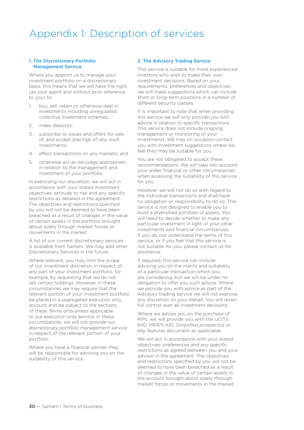### Appendix 1: Description of services

#### 1. The Discretionary Portfolio Management Service

Where you appoint us to manage your investment portfolio on a discretionary basis, this means that we will have the right (as your agent and without prior reference to you) to:

- 1. buy, sell, retain or otherwise deal in investments including unregulated collective investment schemes;
- 2. make deposits;
- 3. subscribe to issues and offers for sale of, and accept placings of, any such investments;
- 4. effect transactions on any markets; and
- 5. otherwise act as we judge appropriate in relation to the management and investment of your portfolio.

In exercising our discretion, we will act in accordance with your stated investment objectives, attitude to risk and any specific restrictions as detailed in the *agreement*. The objectives and restrictions specified by you will not be deemed to have been breached as a result of changes in the value of certain assets in the portfolio brought about solely through market forces or movements in the market.

A list of our current discretionary services is available from Sanlam. We may add other Discretionary Services in the future.

Where relevant, you may limit the scope of our investment discretion in respect of any part of your investment portfolio, for example, by requesting that we do not sell certain holdings. However, in these circumstances we may require that the relevant portion of your investment portfolio be placed in a segregated execution only account and be subject to the sections of these *Terms of business* applicable to our execution only service. In these circumstances, we will not provide our *discretionary portfolio management service* in respect of the relevant portion of your portfolio.

Where you have a financial adviser they will be responsible for advising you on the suitability of this service.

#### 2. The Advisory Trading Service

This service is suitable for more experienced investors who wish to make their own investment decisions. Based on your requirements, preferences and objectives, we will make suggestions which can include short or long-term positions in a number of different security classes.

It is important to note that when providing this service we will only provide you with advice in relation to specific transactions. This service does not include ongoing management or monitoring of your investments. We may on occasion contact you with investment suggestions where we feel they may be suitable for you.

You are not obligated to accept these recommendations. We will take into account your wider financial or other circumstances when assessing the suitability of this service for you.

However, we will not do so with regard to the individual transactions and shall have no obligation or responsibility to do so. This service is not designed to enable you to build a diversified portfolio of assets. You will need to decide whether to make any particular investment in light of your other investments and financial circumstances. If you do not understand the terms of this service, or if you feel that this service is not suitable for you, please contact us for assistance.

If required, this service can include advising you on the merits and suitability of a particular transaction which you are considering, but we will be under no obligation to offer you such advice. Where we provide you with advice as part of the Advisory trading service we will not exercise any discretion on your behalf. You will retain full control over all investment decisions.

Where we advise you on the purchase of RIPs, we will provide you with the UCITS KIID, PRIIPS KID, *Simplified prospectus* or *Key features* document as applicable.

We will act in accordance with your stated objectives, preferences and any specific restrictions as agreed between you and your advisor in the agreement. The objectives and restrictions specified by you will not be deemed to have been breached as a result of changes in the value of certain assets in the account brought about solely through market forces or movements in the market.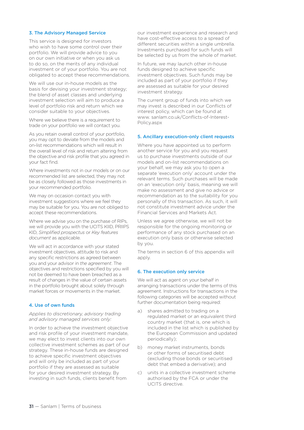#### 3. The Advisory Managed Service

This service is designed for investors who wish to have some control over their portfolio. We will provide advice to you on our own initiative or when you ask us to do so, on the merits of any individual investment or of your portfolio. You are not obligated to accept these recommendations.

We will use our in-house models as the basis for devising your investment strategy; the blend of asset classes and underlying investment selection will aim to produce a level of portfolio risk and return which we consider suitable to your objectives.

Where we believe there is a requirement to trade on your portfolio we will contact you.

As you retain overall control of your portfolio, you may opt to deviate from the models and on-list recommendations which will result in the overall level of risk and return altering from the objective and risk profile that you agreed in your fact find.

Where investments not in our models or on our recommended list are selected, they may not be as closely followed as those investments in your recommended portfolio.

We may on occasion contact you with investment suggestions where we feel they may be suitable for you. You are not obliged to accept these recommendations.

Where we advise you on the purchase of RIPs, we will provide you with the UCITS KIID, PRIIPS KID, *Simplified prospectus* or *Key features document* as applicable.

We will act in accordance with your stated investment objectives, attitude to risk and any specific restrictions as agreed between you and your advisor in *the agreement*. The objectives and restrictions specified by you will not be deemed to have been breached as a result of changes in the value of certain assets in the portfolio brought about solely through market forces or movements in the market.

#### 4. Use of own funds

#### *Applies to discretionary, advisory trading and advisory managed services only:*

In order to achieve the investment objective and risk profile of your investment mandate, we may elect to invest clients into our own collective investment schemes as part of our strategy. These in-house funds are designed to achieve specific investment objectives and will only be included as part of your portfolio if they are assessed as suitable for your desired investment strategy. By investing in such funds, clients benefit from

our investment experience and research and have cost-effective access to a spread of different securities within a single umbrella. Investments purchased for such funds will be selected by us from the whole of market.

In future, we may launch other in-house funds designed to achieve specific investment objectives. Such funds may be included as part of your portfolio if they are assessed as suitable for your desired investment strategy.

The current group of funds into which we may invest is described in our Conflicts of interest policy, which can be found at www. sanlam.co.uk/Conflicts-of-Interest-Policy.aspx

#### 5. Ancillary execution-only client requests

Where you have appointed us to perform another service for you and you request us to purchase investments outside of our models and on-list recommendations on your behalf, we may ask you to open a separate 'execution only' account under the relevant terms. Such purchases will be made on an 'execution only' basis, meaning we will make no assessment and give no advice or recommendation as to the suitability for you personally of this transaction. As such, it will not constitute investment advice under the Financial Services and Markets Act.

Unless we agree otherwise, we will not be responsible for the ongoing monitoring or performance of any stock purchased on an execution only basis or otherwise selected by you.

The terms in section 6 of this appendix will apply.

#### 6. The execution only service

We will act as agent on your behalf in arranging transactions under the terms of this agreement. Instructions for transactions in the following categories will be accepted without further documentation being required:

- a) shares admitted to trading on a regulated market or an equivalent third country market (that is, one which is included in the list which is published by the European Commission and updated periodically);
- b) money market instruments, bonds or other forms of securitised debt (excluding those bonds or securitised debt that embed a derivative); and
- c) units in a collective investment scheme authorised by the FCA or under the UCITS directive.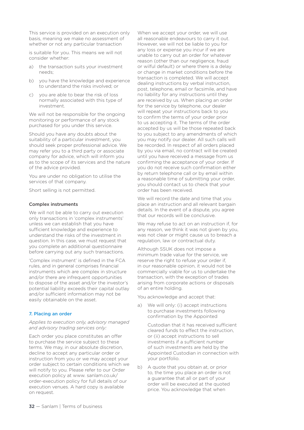This service is provided on an execution only basis, meaning we make no assessment of whether or not any particular transaction

is suitable for you. This means we will not consider whether:

- a) the transaction suits your investment needs;
- b) you have the knowledge and experience to understand the risks involved; or
- c) you are able to bear the risk of loss normally associated with this type of investment.

We will not be responsible for the ongoing monitoring or performance of any stock purchased for you under this service.

Should you have any doubts about the suitability of a particular investment, you should seek proper professional advice. We may refer you to a third party or associate company for advice, which will inform you as to the scope of its services and the nature of the advice provided.

You are under no obligation to utilise the services of that company.

Short selling is not permitted.

#### Complex instruments

We will not be able to carry out execution only transactions in 'complex instruments' unless we can establish that you have sufficient knowledge and experience to understand the risks of the investment in question. In this case, we must request that you complete an additional questionnaire before carrying out any such transactions.

'Complex instrument' is defined in the FCA rules, and in general comprises financial instruments which are complex in structure and/or there are infrequent opportunities to dispose of the asset and/or the investor's potential liability exceeds their capital outlay and/or sufficient information may not be easily obtainable on the asset.

#### 7. Placing an order

#### *Applies to execution only, advisory managed and advisory trading services only:*

Each order you place constitutes an offer to purchase the service subject to these terms. We may, in our absolute discretion, decline to accept any particular order or instruction from you or we may accept your order subject to certain conditions which we will notify to you. Please refer to our Order execution policy at www. sanlam.co.uk/ order-execution policy for full details of our execution venues. A hard copy is available on request.

When we accept your order, we will use all reasonable endeavours to carry it out. However, we will not be liable to you for any loss or expense you incur if we are unable to carry out an order for whatever reason (other than our negligence, fraud or wilful default) or where there is a delay or change in market conditions before the transaction is completed. We will accept dealing instructions by verbal instruction, post, telephone, email or facsimile, and have no liability for any instructions until they are received by us. When placing an order for the service by telephone, our dealer will repeat your instructions back to you to confirm the terms of your order prior to us accepting it. The terms of the order accepted by us will be those repeated back to you subject to any amendments of which you may notify our dealer. All such calls will be recorded. In respect of all orders placed by you via email, no contract will be created until you have received a message from us confirming the acceptance of your order. If you do not receive such confirmation either by return telephone call or by email within a reasonable time of submitting your order, you should contact us to check that your order has been received.

We will record the date and time that you place an instruction and all relevant bargain details. In the event of a dispute, you agree that our records will be conclusive.

We may refuse to act on an instruction if, for any reason, we think it was not given by you, was not clear or might cause us to breach a regulation, law or contractual duty.

Although SSUK does not impose a minimum trade value for the service, we reserve the right to refuse your order if, in our reasonable opinion, it would not be commercially viable for us to undertake the transaction, with the exception of trades arising from corporate actions or disposals of an entire holding.

You acknowledge and accept that:

a) We will only: (i) accept instructions to purchase investments following confirmation by the Appointed

 Custodian that it has received sufficient cleared funds to effect the instruction, or (ii) accept instructions to sell investments if a sufficient number of such investments are held by the Appointed Custodian in connection with your portfolio.

b) A quote that you obtain at, or prior to, the time you place an order is not a guarantee that all or part of your order will be executed at the quoted price. You acknowledge that when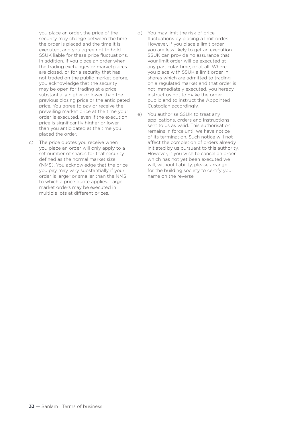you place an order, the price of the security may change between the time the order is placed and the time it is executed, and you agree not to hold SSUK liable for these price fluctuations. In addition, if you place an order when the trading exchanges or marketplaces are closed, or for a security that has not traded on the public market before, you acknowledge that the security may be open for trading at a price substantially higher or lower than the previous closing price or the anticipated price. You agree to pay or receive the prevailing market price at the time your order is executed, even if the execution price is significantly higher or lower than you anticipated at the time you placed the order.

- c) The price quotes you receive when you place an order will only apply to a set number of shares for that security defined as the normal market size (NMS). You acknowledge that the price you pay may vary substantially if your order is larger or smaller than the NMS to which a price quote applies. Large market orders may be executed in multiple lots at different prices.
- d) You may limit the risk of price fluctuations by placing a limit order. However, if you place a limit order, you are less likely to get an execution. SSUK can provide no assurance that your limit order will be executed at any particular time, or at all. Where you place with SSUK a limit order in shares which are admitted to trading on a regulated market and that order is not immediately executed, you hereby instruct us not to make the order public and to instruct the Appointed Custodian accordingly.
- e) You authorise SSUK to treat any applications, orders and instructions sent to us as valid. This authorisation remains in force until we have notice of its termination. Such notice will not affect the completion of orders already initiated by us pursuant to this authority. However, if you wish to cancel an order which has not yet been executed we will, without liability, please arrange for the building society to certify your name on the reverse.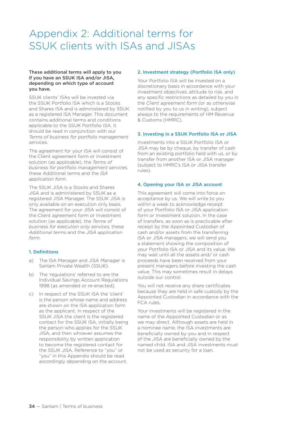## Appendix 2: Additional terms for SSUK clients with ISAs and JISAs

#### These additional terms will apply to you if you have an SSUK ISA and/or JISA, depending on which type of account you have.

SSUK clients' ISAs will be invested via the SSUK Portfolio ISA which is a Stocks and Shares ISA and is administered by SSUK as a registered ISA Manager. This document contains additional terms and conditions applicable to the SSUK Portfolio ISA. It should be read in conjunction with our *Terms of business for portfolio management services*.

The agreement for your ISA will consist of the Client agreement form or Investment solution (as applicable), the *Terms of business for portfolio management services*, these Additional terms and the *ISA application form*.

The SSUK JISA is a Stocks and Shares JISA and is administered by SSUK as a registered JISA Manager. The SSUK JISA is only available on an execution only basis. The agreement for your JISA will consist of the Client agreement form or Investment solution (as applicable), the *Terms of business for execution only services*, these *Additional terms* and the *JISA application form*.

#### 1. Definitions

- a) The ISA Manager and JISA Manager is Sanlam Private Wealth (SSUK).
- b) The 'regulations' referred to are the Individual Savings Account Regulations 1998 (as amended or re-enacted).
- c) In respect of the SSUK ISA the 'client' is the person whose name and address are shown on the ISA application form as the applicant. In respect of the SSUK JISA the client is the registered contact for the SSUK ISA, initially being the person who applies for the SSUK JISA, and then whoever assumes the responsibility by written application to become the registered contact for the SSUK JISA. Reference to "you" or "you" in this Appendix should be read accordingly depending on the account.

#### 2. Investment strategy (Portfolio ISA only)

Your Portfolio ISA will be invested on a discretionary basis in accordance with your investment objectives, attitude to risk, and any specific restrictions as detailed by you in the *Client agreement form* (or as otherwise notified by you to us in writing), subject always to the requirements of HM Revenue & Customs (HMRC).

#### 3. Investing in a SSUK Portfolio ISA or JISA

Investments into a SSUK Portfolio ISA or JISA may be by cheque, by transfer of cash from an existing portfolio held with us, or by transfer from another ISA or JISA manager (subject to HMRC's ISA or JISA transfer rules).

#### 4. Opening your ISA or JISA account

This agreement will come into force on acceptance by us. We will write to you within a week to acknowledge receipt of your Portfolio ISA or JISA application form or Investment solution. In the case of transfers, as soon as is practicable after receipt by the Appointed Custodian of cash and/or assets from the transferring ISA or JISA managers, we will send you a statement showing the composition of your Portfolio ISA or JISA and its value. We may wait until all the assets and/ or cash proceeds have been received from your present managers before investing the cash value. This may sometimes result in delays outside our control.

You will not receive any share certificates because they are held in safe custody by the Appointed Custodian in accordance with the FCA rules.

Your investments will be registered in the name of the Appointed Custodian or as we may direct. Although assets are held in a nominee name, the ISA investments are beneficially owned by you and in respect of the JISA are beneficially owned by the named child. ISA and JISA investments must not be used as security for a loan.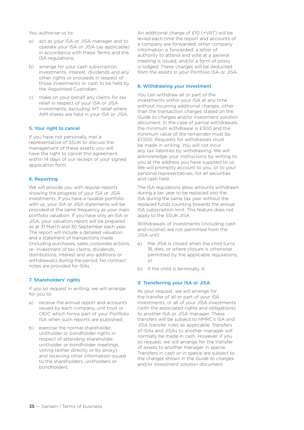You authorise us to:

- a) act as your ISA or JISA manager and to operate your ISA or JISA (as applicable) in accordance with these Terms and the ISA regulations;
- b) arrange for your cash subscription. investments, interest, dividends and any other rights or proceeds in respect of those investments or cash to be held by the Appointed Custodian;
- c) make on your behalf any claims for tax relief in respect of your ISA or JISA investments, excluding IHT relief where AIM shares are held in your ISA or JISA.

#### 5. Your right to cancel

If you have not personally met a representative of SSUK to discuss the management of these assets, you will have the right to cancel this agreement within 14 days of our receipt of your signed application form.

#### 6. Reporting

We will provide you with regular reports showing the progress of your ISA or JISA investments. If you have a taxable portfolio with us, your ISA or JISA statements will be provided at the same frequency as your main portfolio valuation. If you have only an ISA or JISA, your valuation report will be prepared as at 31 March and 30 September each year. The report will include a detailed valuation and a statement of transactions made (including purchases, sales, corporate actions, re- investment of tax claims, dividends, distributions, interest and any additions or withdrawals) during the period. No contract notes are provided for ISAs.

#### 7. Shareholders' rights

If you so request in writing, we will arrange for you to:

- a) receive the annual report and accounts issued by each company, unit trust or OEIC which forms part of your Portfolio ISA when such reports are published;
- b) exercise the normal shareholder, unitholder or bondholder rights in respect of attending shareholder, unitholder or bondholder meetings, voting (either directly or by proxy) and receiving other information issued to the shareholders, unitholders or bondholders.

An additional charge of £10 (+VAT) will be levied each time the report and accounts of a company are forwarded; other company information is forwarded; a letter of authority to attend and vote at a general meeting is issued; and/or a form of proxy is lodged. These charges will be deducted from the assets in your Portfolio ISA or JISA.

#### 8. Withdrawing your investment

You can withdraw all or part of the investments within your ISA at any time without incurring additional charges, other than the transaction charges stated on the *Guide to charges* and/or I*nvestment solution document*. In the case of partial withdrawals, the minimum withdrawal is £300 and the minimum value of the remainder must be £1,500. Requests for withdrawals must be made in writing. You will not incur any tax liabilities by withdrawing. We will acknowledge your instructions by writing to you at the address you have supplied to us. We will promptly account to you, or to your personal representatives, for all securities and cash held.

The ISA regulations allow amounts withdrawn during a tax year to be replaced into the ISA during the same tax year without the replaced funds counting towards the annual ISA subscription limit. This feature does not apply to the SSUK JISA.

Withdrawals of investments (including cash and income) are not permitted from the JISA until:

- a) the JISA is closed when the child turns 18, dies, or where closure is otherwise permitted by the applicable regulations; or
- b) if the child is terminally ill.

#### 9. Transferring your ISA or JISA

At your request, we will arrange for the transfer of all or part of your ISA investments, or all of your JISA investments (with the associated rights and obligations) to another ISA or JISA manager. These transfers will be subject to HMRC's ISA and JISA transfer rules as applicable. Transfers of ISAs and JISAs to another manager will normally be made in cash. However, if you so request, we will arrange for the transfer of assets to another manager in specie. Transfers in cash or in specie are subject to the charges shown in the *Guide to charges* and/or *Investment solution document*.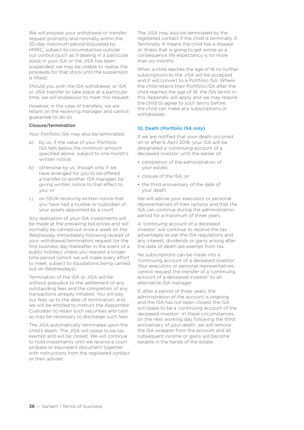We will process your withdrawal or transfer request promptly and normally within the 30-day maximum period stipulated by HMRC, subject to circumstances outside our control (such as if dealing in a particular stock in your ISA or the JISA has been suspended, we may be unable to realise the proceeds for that stock until the suspension is lifted).

Should you wish the ISA withdrawal, or ISA or JISA transfer to take place at a particular time, we will endeavour to meet this request.

However, in the case of transfers, we are reliant on the receiving manager and cannot guarantee to do so.

#### Closure/termination

Your Portfolio ISA may also be terminated:

- a) by us, if the value of your Portfolio ISA falls below the minimum amount specified above, subject to one month's written notice;
- b) otherwise by us, though only if we have arranged for you to be offered a transfer to another ISA manager, by giving written notice to that effect to you; or
- c) on SSUK receiving written notice that you have had a trustee or custodian of your assets appointed by a court.

Any realisation of your ISA investments will be made at the prevailing bid prices and will normally be carried out once a week on the Wednesday immediately following receipt of your withdrawal/termination request (or the first business day thereafter in the event of a public holiday) unless you request a longer time period (which we will make every effort to meet, subject to liquidations being carried out on Wednesdays).

Termination of the ISA or JISA will be without prejudice to the settlement of any outstanding fees and the completion of any transactions already initiated. You will pay our fees up to the date of termination, and we will be entitled to instruct the Appointed Custodian to retain such securities and cash as may be necessary to discharge such fees.

The JISA automatically terminates upon the child's death. The JISA will cease to be tax exempt and will be closed. We will continue to hold investments until we receive a court probate or equivalent document together with instructions from the registered contact or their adviser.

The JISA may also be terminated by the registered contact if the child is terminally ill. Terminally ill means the child has a disease or illness that is going to get worse as a consequence life expectancy is no more than six months.

When a child reaches the age of 18 no further subscriptions to the JISA will be accepted and it will convert to a Portfolio ISA. Where the child retains their Portfolio ISA after the child reaches the age of 18, the ISA terms in this Appendix will apply and we may require the child to agree to such terms before the child can make any subscriptions or withdrawals.

#### 10. Death (Portfolio ISA only)

If we are notified that your death occurred on or after 6 April 2018, your ISA will be designated a 'continuing account of a deceased investor' until the earlier of:

- completion of the administration of your estate;
- closure of the ISA; or
- the third anniversary of the date of your death.

We will advise your executors or personal representatives of their options and that the ISA can continue during the administration period for a maximum of three years.

A 'continuing account of a deceased investor' will continue to receive the tax advantages as per the ISA regulations and any interest, dividends or gains arising after the date of death are exempt from tax.

No subscriptions can be made into a 'continuing account of a deceased investor'. Your executors or personal representatives cannot request the transfer of a 'continuing account of a deceased investor' to an alternative ISA manager.

If, after a period of three years, the administration of the account is ongoing and the ISA has not been closed, the ISA will cease to be a 'continuing account of the deceased investor'. In these circumstances, on the next working day following the third anniversary of your death, we will remove the ISA wrapper from the account and all subsequent income or gains will become taxable in the hands of the estate.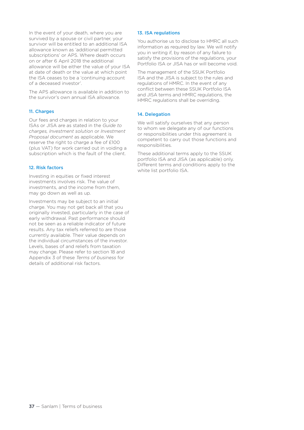In the event of your death, where you are survived by a spouse or civil partner, your survivor will be entitled to an additional ISA allowance known as 'additional permitted subscriptions' or APS. Where death occurs on or after 6 April 2018 the additional allowance will be either the value of your ISA at date of death or the value at which point the ISA ceases to be a 'continuing account of a deceased investor'.

The APS allowance is available in addition to the survivor's own annual ISA allowance.

#### 11. Charges

Our fees and charges in relation to your ISAs or JISA are as stated in the *Guide to charges, Investment solution* or *Investment Proposal document* as applicable. We reserve the right to charge a fee of £100 (plus VAT) for work carried out in voiding a subscription which is the fault of the client.

#### 12. Risk factors

Investing in equities or fixed interest investments involves risk. The value of investments, and the income from them, may go down as well as up.

Investments may be subject to an initial charge. You may not get back all that you originally invested, particularly in the case of early withdrawal. Past performance should not be seen as a reliable indicator of future results. Any tax reliefs referred to are those currently available. Their value depends on the individual circumstances of the investor. Levels, bases of and reliefs from taxation may change. Please refer to section 18 and Appendix 3 of these *Terms of business* for details of additional risk factors.

#### 13. ISA regulations

You authorise us to disclose to HMRC all such information as required by law. We will notify you in writing if, by reason of any failure to satisfy the provisions of the regulations, your Portfolio ISA or JISA has or will become void.

The management of the SSUK Portfolio ISA and the JISA is subject to the rules and regulations of HMRC. In the event of any conflict between these SSUK Portfolio ISA and JISA terms and HMRC regulations, the HMRC regulations shall be overriding.

#### 14. Delegation

We will satisfy ourselves that any person to whom we delegate any of our functions or responsibilities under this agreement is competent to carry out those functions and responsibilities.

These additional terms apply to the SSUK portfolio ISA and JISA (as applicable) only. Different terms and conditions apply to the white list portfolio ISA.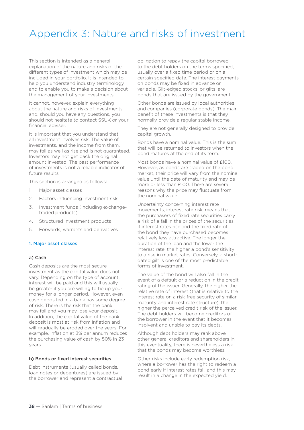### Appendix 3: Nature and risks of investment

This section is intended as a general explanation of the nature and risks of the different types of investment which may be included in your portfolio. It is intended to help you understand industry terminology and to enable you to make a decision about the management of your investments.

It cannot, however, explain everything about the nature and risks of investments and, should you have any questions, you should not hesitate to contact SSUK or your financial adviser.

It is important that you understand that all investment involves risk. The value of investments, and the income from them, may fall as well as rise and is not guaranteed. Investors may not get back the original amount invested. The past performance of investments is not a reliable indicator of future results.

This section is arranged as follows:

- 1. Major asset classes
- 2. Factors influencing investment risk
- 3. Investment funds (including exchangetraded products)
- 4. Structured investment products
- 5. Forwards, warrants and derivatives

#### 1. Major asset classes

#### a) Cash

Cash deposits are the most secure investment as the capital value does not vary. Depending on the type of account, interest will be paid and this will usually be greater if you are willing to tie up your money for a longer period. However, even cash deposited in a bank has some degree of risk. There is the risk that the bank may fail and you may lose your deposit. In addition, the capital value of the bank deposit is most at risk from inflation and will gradually be eroded over the years. For example, inflation at 3% per annum reduces the purchasing value of cash by 50% in 23 years.

#### b) Bonds or fixed interest securities

Debt instruments (usually called bonds, loan notes or debentures) are issued by the borrower and represent a contractual

obligation to repay the capital borrowed to the debt holders on the terms specified, usually over a fixed time period or on a certain specified date. The interest payments on bonds may be fixed in advance or variable. Gilt-edged stocks, or gilts, are bonds that are issued by the government.

Other bonds are issued by local authorities and companies (corporate bonds). The main benefit of these investments is that they normally provide a regular stable income.

They are not generally designed to provide capital growth.

Bonds have a nominal value. This is the sum that will be returned to investors when the bond matures at the end of its term.

Most bonds have a nominal value of £100. However, as bonds are traded on the bond market, their price will vary from the nominal value until the date of maturity and may be more or less than £100. There are several reasons why the price may fluctuate from the nominal value.

Uncertainty concerning interest rate movements, interest rate risk, means that the purchasers of fixed rate securities carry a risk of a fall in the prices of the securities if interest rates rise and the fixed rate of the bond they have purchased becomes relatively less attractive. The longer the duration of the loan and the lower the interest rate, the higher a bond's sensitivity to a rise in market rates. Conversely, a shortdated gilt is one of the most predictable forms of investment.

The value of the bond will also fall in the event of a default or a reduction in the credit rating of the issuer. Generally, the higher the relative rate of interest (that is relative to the interest rate on a risk-free security of similar maturity and interest rate structure), the higher the perceived credit risk of the issuer. The debt holders will become creditors of the borrower in the event that it becomes insolvent and unable to pay its debts.

Although debt holders may rank above other general creditors and shareholders in this eventuality, there is nevertheless a risk that the bonds may become worthless.

Other risks include early redemption risk, where a borrower has the right to redeem a bond early if interest rates fall, and this may result in a change in the expected yield.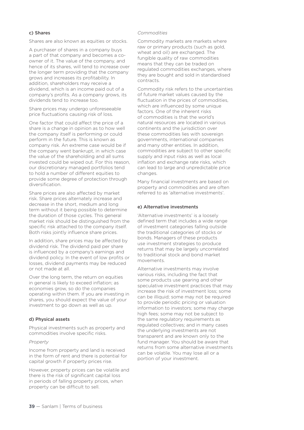#### c) Shares

Shares are also known as equities or stocks.

A purchaser of shares in a company buys a part of that company and becomes a coowner of it. The value of the company, and hence of its shares, will tend to increase over the longer term providing that the company grows and increases its profitability. In addition, shareholders may receive a dividend, which is an income paid out of a company's profits. As a company grows, its dividends tend to increase too.

Share prices may undergo unforeseeable price fluctuations causing risk of loss.

One factor that could affect the price of a share is a change in opinion as to how well the company itself is performing or could perform in the future. This is known as company risk. An extreme case would be if the company went bankrupt, in which case the value of the shareholding and all sums invested could be wiped out. For this reason, our discretionary managed portfolios tend to hold a number of different equities to provide some degree of protection through diversification.

Share prices are also affected by market risk. Share prices alternately increase and decrease in the short, medium and long term without it being possible to determine the duration of those cycles. This general market risk should be distinguished from the specific risk attached to the company itself. Both risks jointly influence share prices.

In addition, share prices may be affected by dividend risk. The dividend paid per share is influenced by a company's earnings and dividend policy. In the event of low profits or losses, dividend payments may be reduced or not made at all.

Over the long term, the return on equities in general is likely to exceed inflation; as economies grow, so do the companies operating within them. If you are investing in shares, you should expect the value of your investment to go down as well as up.

#### d) Physical assets

Physical investments such as property and commodities involve specific risks.

#### *Property*

Income from property and land is received in the form of rent and there is potential for capital growth if property prices rise.

However, property prices can be volatile and there is the risk of significant capital loss in periods of falling property prices, when property can be difficult to sell.

#### *Commodities*

Commodity markets are markets where raw or primary products (such as gold, wheat and oil) are exchanged. The fungible quality of raw commodities means that they can be traded on regulated commodities exchanges, where they are bought and sold in standardised contracts.

Commodity risk refers to the uncertainties of future market values caused by the fluctuation in the prices of commodities, which are influenced by some unique factors. One of the inherent risks of commodities is that the world's natural resources are located in various continents and the jurisdiction over these commodities lies with sovereign governments, international companies and many other entities. In addition, commodities are subject to other specific supply and input risks as well as local inflation and exchange rate risks, which can lead to large and unpredictable price changes.

Many financial investments are based on property and commodities and are often referred to as 'alternative investments'.

#### e) Alternative investments

'Alternative investments' is a loosely defined term that includes a wide range of investment categories falling outside the traditional categories of stocks or bonds. Managers of these products use investment strategies to produce returns that may be largely uncorrelated to traditional stock and bond market movements.

Alternative investments may involve various risks, including the fact that some products use gearing and other speculative investment practices that may increase the risk of investment loss; some can be illiquid; some may not be required to provide periodic pricing or valuation information to investors; some may charge high fees; some may not be subject to the same regulatory requirements as regulated collectives; and in many cases the underlying investments are not transparent and are known only to the fund manager. You should be aware that returns from some alternative investments can be volatile. You may lose all or a portion of your investment.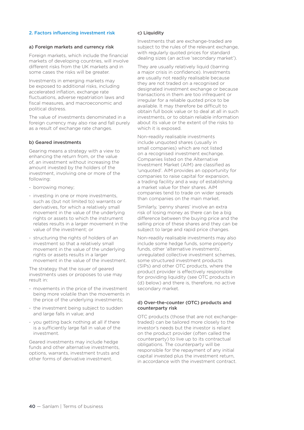#### 2. Factors influencing investment risk

#### a) Foreign markets and currency risk

Foreign markets, which include the financial markets of developing countries, will involve different risks from the UK markets and in some cases the risks will be greater.

Investments in emerging markets may be exposed to additional risks, including accelerated inflation, exchange rate fluctuations, adverse repatriation laws and fiscal measures, and macroeconomic and political distress.

The value of investments denominated in a foreign currency may also rise and fall purely as a result of exchange rate changes.

#### b) Geared investments

Gearing means a strategy with a view to enhancing the return from, or the value of, an investment without increasing the amount invested by the holders of the investment, involving one or more of the following:

- borrowing money;
- investing in one or more investments, such as (but not limited to) warrants or derivatives, for which a relatively small movement in the value of the underlying rights or assets to which the instrument relates results in a larger movement in the value of the investment; or
- structuring the rights of holders of an investment so that a relatively small movement in the value of the underlying rights or assets results in a larger movement in the value of the investment.

The strategy that the issuer of geared investments uses or proposes to use may result in:

- movements in the price of the investment being more volatile than the movements in the price of the underlying investments;
- the investment being subject to sudden and large falls in value; and
- you getting back nothing at all if there is a sufficiently large fall in value of the investment.

Geared investments may include hedge funds and other alternative investments, options, warrants, investment trusts and other forms of derivative investment.

#### c) Liquidity

Investments that are exchange-traded are subject to the rules of the relevant exchange, with regularly quoted prices for standard dealing sizes (an active 'secondary market').

They are usually relatively liquid (barring a major crisis in confidence). Investments are usually not readily realisable because they are not traded on a recognised or designated investment exchange or because transactions in them are too infrequent or irregular for a reliable quoted price to be available. It may therefore be difficult to obtain full book value or to deal at all in such investments, or to obtain reliable information about its value or the extent of the risks to which it is exposed.

Non-readily realisable investments include unquoted shares (usually in small companies) which are not listed on a recognised investment exchange. Companies listed on the Alternative Investment Market (AIM) are classified as 'unquoted'. AIM provides an opportunity for companies to raise capital for expansion, a trading facility and a way of establishing a market value for their shares. AIM companies tend to trade on wider spreads than companies on the main market.

Similarly, 'penny shares' involve an extra risk of losing money as there can be a big difference between the buying price and the selling price of these shares and they can be subject to large and rapid price changes.

Non-readily realisable investments may also include some hedge funds, some property funds, other 'alternative investments', unregulated collective investment schemes, some structured investment products (SIPs) and other OTC products, where the product provider is effectively responsible for providing liquidity (see OTC products in (d) below) and there is, therefore, no active secondary market.

#### d) Over-the-counter (OTC) products and counterparty risk

OTC products (those that are not exchangetraded) can be tailored more closely to the investor's needs but the investor is reliant on the product provider (often called the counterparty) to live up to its contractual obligations. The counterparty will be responsible for the repayment of any initial capital invested plus the investment return, in accordance with the investment contract.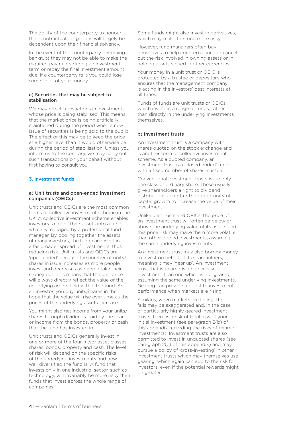The ability of the counterparty to honour their contractual obligations will largely be dependent upon their financial solvency.

In the event of the counterparty becoming bankrupt they may not be able to make the required payments during an investment term or repay the final investment amount due. If a counterparty fails you could lose some or all of your money.

#### e) Securities that may be subject to stabilisation

We may effect transactions in investments whose price is being stabilised. This means that the market price is being artificially maintained during the period when a new issue of securities is being sold to the public. The effect of this may be to keep the price at a higher level than it would otherwise be during the period of stabilisation. Unless you inform us to the contrary, we may carry out such transactions on your behalf without first having to consult you.

#### 3. Investment funds

#### a) Unit trusts and open-ended investment companies (OEICs)

Unit trusts and OEICs are the most common forms of collective investment scheme in the UK. A collective investment scheme enables investors to 'pool' their assets into a fund which is managed by a professional fund manager. By pooling together the assets of many investors, the fund can invest in a far broader spread of investments, thus reducing risk. Unit trusts and OEICs are 'open ended' because the number of units/ shares in issue increases as more people invest and decreases as people take their money out. This means that the unit price will always directly reflect the value of the underlying assets held within the fund. As an investor, you buy units/shares in the hope that the value will rise over time as the prices of the underlying assets increase.

You might also get income from your units/ shares through dividends paid by the shares, or income from the bonds, property or cash that the fund has invested in.

Unit trusts and OEICs generally invest in one or more of the four major asset classes: shares, bonds, property and cash. The level of risk will depend on the specific risks of the underlying investments and how well diversified the fund is. A fund that invests only in one industrial sector, such as technology, will invariably be more risky than funds that invest across the whole range of companies.

Some funds might also invest in derivatives, which may make the fund more risky.

However, fund managers often buy derivatives to help counterbalance or cancel out the risk involved in owning assets or in holding assets valued in other currencies.

Your money in a unit trust or OEIC is protected by a trustee or depositary who ensures that the management company is acting in the investors' best interests at all times.

Funds of funds are unit trusts or OEICs which invest in a range of funds, rather than directly in the underlying investments themselves.

#### b) Investment trusts

An investment trust is a company with shares quoted on the stock exchange and is another form of collective investment scheme. As a quoted company, an investment trust is a 'closed ended' fund with a fixed number of shares in issue.

Conventional investment trusts issue only one class of ordinary share. These usually give shareholders a right to dividend distributions and offer the opportunity of capital growth to increase the value of their investment.

Unlike unit trusts and OEICs, the price of an investment trust will often be below or above the underlying value of its assets and this price risk may make them more volatile than other pooled investments, assuming the same underlying investments.

An investment trust may also borrow money to invest on behalf of its shareholders, meaning it may 'gear up'. An investment trust that is geared is a higher risk investment than one which is not geared, assuming the same underlying investments. Gearing can provide a boost to investment performance when markets are rising.

Similarly, when markets are falling, the falls may be exaggerated and, in the case of particularly highly geared investment trusts, there is a risk of total loss of your initial investment (see paragraph 2(b) of this appendix regarding the risks of geared investments). Investment trusts are also permitted to invest in unquoted shares (see paragraph 2(c) of this appendix) and may pursue a policy of 'cross-investing' in other investment trusts which may themselves use gearing, which again can add to the risk for investors, even if the potential rewards might be greater.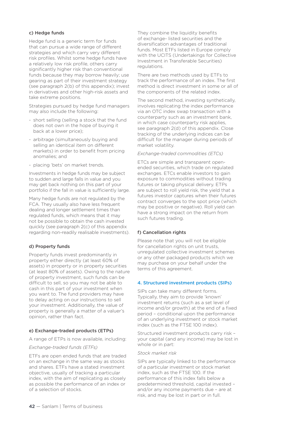#### c) Hedge funds

Hedge fund is a generic term for funds that can pursue a wide range of different strategies and which carry very different risk profiles. Whilst some hedge funds have a relatively low risk profile, others carry significantly higher risk than conventional funds because they may borrow heavily; use gearing as part of their investment strategy (see paragraph 2(b) of this appendix); invest in derivatives and other high-risk assets and take extreme positions.

Strategies pursued by hedge fund managers may also include the following:

- short selling (selling a stock that the fund does not own in the hope of buying it back at a lower price);
- arbitrage (simultaneously buying and selling an identical item on different markets) in order to benefit from pricing anomalies; and
- placing 'bets' on market trends.

Investments in hedge funds may be subject to sudden and large falls in value and you may get back nothing on this part of your portfolio if the fall in value is sufficiently large.

Many hedge funds are not regulated by the FCA. They usually also have less frequent dealing and longer settlement times than regulated funds, which means that it may not be possible to obtain the cash invested quickly (see paragraph 2(c) of this appendix regarding non-readily realisable investments).

#### d) Property funds

Property funds invest predominantly in property either directly (at least 60% of assets) in property or in property securities (at least 80% of assets). Owing to the nature of property investment, such funds can be difficult to sell, so you may not be able to cash in this part of your investment when you want to. The fund providers may have to delay acting on our instructions to sell your investment. Additionally, the value of property is generally a matter of a valuer's opinion, rather than fact.

#### e) Exchange-traded products (ETPs)

A range of ETPs is now available, including:

#### *Exchange-traded funds (ETFs)*

ETFs are open ended funds that are traded on an exchange in the same way as stocks and shares. ETFs have a stated investment objective, usually of tracking a particular index, with the aim of replicating as closely as possible the performance of an index or of a selection of stocks.

They combine the liquidity benefits of exchange- listed securities and the diversification advantages of traditional funds. Most ETFs listed in Europe comply with the UCITS (Undertakings for Collective Investment in Transferable Securities) regulations.

There are two methods used by ETFs to track the performance of an index. The first method is direct investment in some or all of the components of the related index.

The second method, investing synthetically, involves replicating the index performance via an OTC index swap transaction with a counterparty such as an investment bank, in which case counterparty risk applies, see paragraph 2(d) of this appendix. Close tracking of the underlying indices can be difficult for the manager during periods of market volatility.

#### *Exchange-traded commodities (ETCs)*

ETCs are simple and transparent openended securities, which trade on regulated exchanges. ETCs enable investors to gain exposure to commodities without trading futures or taking physical delivery. ETPs are subject to roll yield risk, the yield that a futures investor captures when their futures contract converges to the spot price (which may be positive or negative). Roll yield can have a strong impact on the return from such futures trading.

#### f) Cancellation rights

Please note that you will not be eligible for cancellation rights on unit trusts, unregulated collective investment schemes or any other packaged products which we may purchase on your behalf under the terms of this agreement.

#### 4. Structured investment products (SIPs)

SIPs can take many different forms. Typically, they aim to provide 'known' investment returns (such as a set level of income and/or growth) at the end of a fixed period – conditional upon the performance of an underlying investment or stock market index (such as the FTSE 100 index).

Structured investment products carry risk – your capital (and any income) may be lost in whole or in part:

#### *Stock market risk*

SIPs are typically linked to the performance of a particular investment or stock market index, such as the FTSE 100. If the performance of this index falls below a predetermined threshold, capital invested – and/or any income payments due – are at risk, and may be lost in part or in full.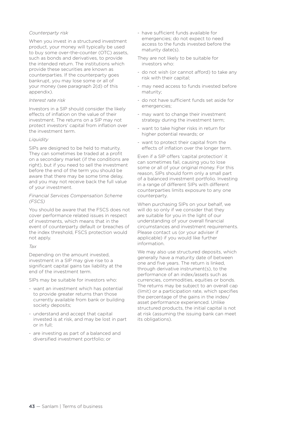#### *Counterparty risk*

When you invest in a structured investment product, your money will typically be used to buy some over-the-counter (OTC) assets, such as bonds and derivatives, to provide the intended return. The institutions which provide these securities are known as counterparties. If the counterparty goes bankrupt, you may lose some or all of your money (see paragraph 2(d) of this appendix).

#### *Interest rate risk*

Investors in a SIP should consider the likely effects of inflation on the value of their investment. The returns on a SIP may not protect investors' capital from inflation over the investment term.

#### *Liquidity*

SIPs are designed to be held to maturity. They can sometimes be traded at a profit on a secondary market (if the conditions are right), but if you need to sell the investment before the end of the term you should be aware that there may be some time delay, and you may not receive back the full value of your investment.

#### *Financial Services Compensation Scheme (FSCS)*

You should be aware that the FSCS does not cover performance related issues in respect of investments, which means that in the event of counterparty default or breaches of the index threshold, FSCS protection would not apply.

#### *Tax*

Depending on the amount invested, investment in a SIP may give rise to a significant capital gains tax liability at the end of the investment term.

SIPs may be suitable for investors who:

- want an investment which has potential to provide greater returns than those currently available from bank or building society deposits;
- understand and accept that capital invested is at risk, and may be lost in part or in full;
- are investing as part of a balanced and diversified investment portfolio; or

- have sufficient funds available for emergencies; do not expect to need access to the funds invested before the maturity date(s).

They are not likely to be suitable for investors who:

- do not wish (or cannot afford) to take any risk with their capital;
- may need access to funds invested before maturity;
- do not have sufficient funds set aside for emergencies;
- may want to change their investment strategy during the investment term;
- want to take higher risks in return for higher potential rewards; or
- want to protect their capital from the effects of inflation over the longer term.

Even if a SIP offers 'capital protection' it can sometimes fail, causing you to lose some or all of your original money. For this reason, SIPs should form only a small part of a balanced investment portfolio. Investing in a range of different SIPs with different counterparties limits exposure to any one counterparty.

When purchasing SIPs on your behalf, we will do so only if we consider that they are suitable for you in the light of our understanding of your overall financial circumstances and investment requirements. Please contact us (or your adviser if applicable) if you would like further information.

We may also use structured deposits, which generally have a maturity date of between one and five years. The return is linked, through derivative instrument(s), to the performance of an index/assets such as currencies, commodities, equities or bonds. The returns may be subject to an overall cap (limit) or a participation rate, which specifies the percentage of the gains in the index/ asset performance experienced. Unlike structured products, the initial capital is not at risk (assuming the issuing bank can meet its obligations).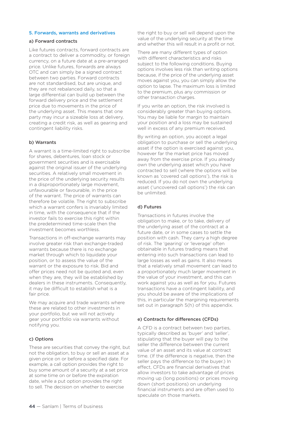#### 5. Forwards, warrants and derivatives

#### a) Forward contracts

Like futures contracts, forward contracts are a contract to deliver a commodity, or foreign currency, on a future date at a pre-arranged price. Unlike futures, forwards are always OTC and can simply be a signed contract between two parties. Forward contracts are not standardised, but are unique, and they are not rebalanced daily, so that a large differential can build up between the forward delivery price and the settlement price due to movements in the price of the underlying asset. This means that one party may incur a sizeable loss at delivery, creating a credit risk, as well as gearing and contingent liability risks.

#### b) Warrants

A warrant is a time-limited right to subscribe for shares, debentures, loan stock or government securities and is exercisable against the original issuer of the underlying securities. A relatively small movement in the price of the underlying security results in a disproportionately large movement, unfavourable or favourable, in the price of the warrant. The price of warrants can therefore be volatile. The right to subscribe which a warrant confers is invariably limited in time, with the consequence that if the investor fails to exercise this right within the predetermined time-scale then the investment becomes worthless.

Transactions in off-exchange warrants may involve greater risk than exchange-traded warrants because there is no exchange market through which to liquidate your position, or to assess the value of the warrant or the exposure to risk. Bid and offer prices need not be quoted and, even when they are, they will be established by dealers in these instruments. Consequently, it may be difficult to establish what is a fair price.

We may acquire and trade warrants where these are related to other investments in your portfolio, but we will not actively gear your portfolio via warrants without notifying you.

#### c) Options

These are securities that convey the right, but not the obligation, to buy or sell an asset at a given price on or before a specified date. For example, a call option provides the right to buy some amount of a security at a set price at some time on or before the expiration date, while a put option provides the right to sell. The decision on whether to exercise

the right to buy or sell will depend upon the value of the underlying security at the time and whether this will result in a profit or not.

There are many different types of option with different characteristics and risks subject to the following conditions. Buying options involves less risk than writing options because, if the price of the underlying asset moves against you, you can simply allow the option to lapse. The maximum loss is limited to the premium, plus any commission or other transaction charges.

If you write an option, the risk involved is considerably greater than buying options. You may be liable for margin to maintain your position and a loss may be sustained well in excess of any premium received.

By writing an option, you accept a legal obligation to purchase or sell the underlying asset if the option is exercised against you, however far the market price has moved away from the exercise price. If you already own the underlying asset which you have contracted to sell (where the options will be known as 'covered call options'), the risk is reduced. If you do not own the underlying asset ('uncovered call options') the risk can be unlimited.

#### d) Futures

Transactions in futures involve the obligation to make, or to take, delivery of the underlying asset of the contract at a future date, or in some cases to settle the position with cash. They carry a high degree of risk. The 'gearing' or 'leverage' often obtainable in futures trading means that entering into such transactions can lead to large losses as well as gains. It also means that a relatively small movement can lead to a proportionately much larger movement in the value of your investment, and this can work against you as well as for you. Futures transactions have a contingent liability, and you should be aware of the implications of this, in particular the margining requirements set out in paragraph 5(h) of this appendix.

#### e) Contracts for differences (CFDs)

A CFD is a contract between two parties, typically described as 'buyer' and 'seller', stipulating that the buyer will pay to the seller the difference between the current value of an asset and its value at contract time. (If the difference is negative, then the seller pays the difference to the buyer.) In effect, CFDs are financial derivatives that allow investors to take advantage of prices moving up (long positions) or prices moving down (short positions) on underlying financial instruments and are often used to speculate on those markets.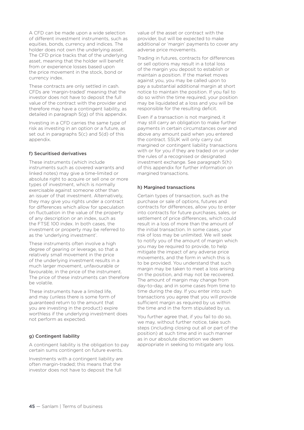A CFD can be made upon a wide selection of different investment instruments, such as equities, bonds, currency and indices. The holder does not own the underlying asset. The CFD price tracks that of the underlying asset, meaning that the holder will benefit from or experience losses based upon the price movement in the stock, bond or currency index.

These contracts are only settled in cash. CFDs are 'margin-traded' meaning that the investor does not have to deposit the full value of the contract with the provider and therefore may have a contingent liability, as detailed in paragraph 5(g) of this appendix.

Investing in a CFD carries the same type of risk as investing in an option or a future, as set out in paragraphs 5(c) and 5(d) of this appendix

#### f) Securitised derivatives

These instruments (which include instruments such as covered warrants and linked notes) may give a time-limited or absolute right to acquire or sell one or more types of investment, which is normally exercisable against someone other than an issuer of that investment. Alternatively, they may give you rights under a contract for differences which allow for speculation on fluctuation in the value of the property of any description or an index, such as the FTSE 100 index. In both cases, the investment or property may be referred to as the 'underlying investment'.

These instruments often involve a high degree of gearing or leverage, so that a relatively small movement in the price of the underlying investment results in a much larger movement, unfavourable or favourable, in the price of the instrument. The price of these instruments can therefore be volatile.

These instruments have a limited life, and may (unless there is some form of guaranteed return to the amount that you are investing in the product) expire worthless if the underlying investment does not perform as expected.

#### g) Contingent liability

A contingent liability is the obligation to pay certain sums contingent on future events.

Investments with a contingent liability are often margin-traded; this means that the investor does not have to deposit the full

value of the asset or contract with the provider, but will be expected to make additional or 'margin' payments to cover any adverse price movements.

Trading in futures, contracts for differences or sell options may result in a total loss of the margin you deposit to establish or maintain a position. If the market moves against you, you may be called upon to pay a substantial additional margin at short notice to maintain the position. If you fail to do so within the time required, your position may be liquidated at a loss and you will be responsible for the resulting deficit.

Even if a transaction is not margined, it may still carry an obligation to make further payments in certain circumstances over and above any amount paid when you entered the contract. SSUK will only carry out margined or contingent liability transactions with or for you if they are traded on or under the rules of a recognised or designated investment exchange. See paragraph 5(h) of this appendix for further information on margined transactions.

#### h) Margined transactions

Certain types of transaction, such as the purchase or sale of options, futures and contracts for differences, allow you to enter into contracts for future purchases, sales, or settlement of price differences, which could result in a loss of more than the amount of the initial transaction. In some cases, your risk of loss may be unlimited. We will seek to notify you of the amount of margin which you may be required to provide, to help mitigate the impact of any adverse price movements, and the form in which this is to be provided. You understand that such margin may be taken to meet a loss arising on the position, and may not be recovered. The amount of margin may change from day-to-day, and in some cases from time to time during the day. If you enter into such transactions you agree that you will provide sufficient margin as required by us within the time and in the form stipulated by us.

You further agree that, if you fail to do so, we may, without further notice, take such steps (including closing out all or part of the position) at such time and in such manner as in our absolute discretion we deem appropriate in seeking to mitigate any loss.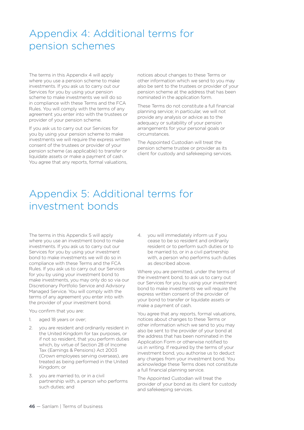## Appendix 4: Additional terms for pension schemes

The terms in this Appendix 4 will apply where you use a pension scheme to make investments. If you ask us to carry out our Services for you by using your pension scheme to make investments we will do so in compliance with these Terms and the FCA Rules. You will comply with the terms of any agreement you enter into with the trustees or provider of your pension scheme.

If you ask us to carry out our Services for you by using your pension scheme to make investments we will require the express written consent of the trustees or provider of your pension scheme (as applicable) to transfer or liquidate assets or make a payment of cash. You agree that any reports, formal valuations,

notices about changes to these Terms or other information which we send to you may also be sent to the trustees or provider of your pension scheme at the address that has been nominated in the application form.

These Terms do not constitute a full financial planning service; in particular, we will not provide any analysis or advice as to the adequacy or suitability of your pension arrangements for your personal goals or circumstances.

The Appointed Custodian will treat the pension scheme trustee or provider as its client for custody and safekeeping services.

## Appendix 5: Additional terms for investment bonds

The terms in this Appendix 5 will apply where you use an investment bond to make investments. If you ask us to carry out our Services for you by using your investment bond to make investments we will do so in compliance with these Terms and the FCA Rules. If you ask us to carry out our Services for you by using your investment bond to make investments, you may only do so via our Discretionary Portfolio Service and Advisory Managed Service. You will comply with the terms of any agreement you enter into with the provider of your investment bond.

You confirm that you are:

- 1. aged 18 years or over;
- 2. you are resident and ordinarily resident in the United Kingdom for tax purposes, or if not so resident, that you perform duties which, by virtue of Section 28 of Income Tax (Earnings & Pensions) Act 2003 (Crown employees serving overseas), are treated as being performed in the United Kingdom; or
- 3. you are married to, or in a civil partnership with, a person who performs such duties; and

4. you will immediately inform us if you cease to be so resident and ordinarily resident or to perform such duties or to be married to, or in a civil partnership with, a person who performs such duties as described above.

Where you are permitted, under the terms of the investment bond, to ask us to carry out our Services for you by using your investment bond to make investments we will require the express written consent of the provider of your bond to transfer or liquidate assets or make a payment of cash.

You agree that any reports, formal valuations, notices about changes to these Terms or other information which we send to you may also be sent to the provider of your bond at the address that has been nominated in the Application Form or otherwise notified to us in writing. If required by the terms of your investment bond, you authorise us to deduct any charges from your investment bond. You acknowledge these Terms does not constitute a full financial planning service.

The Appointed Custodian will treat the provider of your bond as its client for custody and safekeeping services.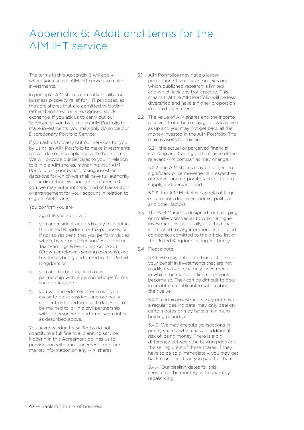## Appendix 6: Additional terms for the AIM IHT service

The terms in this Appendix 6 will apply where you use our AIM IHT service to make investments.

In principle, AIM shares currently qualify for business property relief for IHT purposes, as they are shares that are admitted to trading, rather than listed, on a recognised stock exchange. If you ask us to carry out our Services for you by using an AIM Portfolio to make investments, you may only do so via our Discretionary Portfolio Service.

If you ask us to carry out our Services for you by using an AIM Portfolio to make investments we will do so in compliance with these Terms. We will provide our Services to you in relation to eligible AIM shares, managing your AIM Portfolio on your behalf, taking investment decisions for which we shall have full authority at our discretion. Without prior reference to you, we may enter into any kind of transaction or arrangement for your account in relation to eligible AIM shares.

You confirm you are:

- 1. aged 18 years or over;
- 2. you are resident and ordinarily resident in the United Kingdom for tax purposes, or if not so resident, that you perform duties which, by virtue of Section 28 of Income Tax (Earnings & Pensions) Act 2003 (Crown employees serving overseas), are treated as being performed in the United Kingdom; or
- 3. you are married to, or in a civil partnership with, a person who performs such duties; and
- 4. you will immediately inform us if you cease to be so resident and ordinarily resident or to perform such duties or to be married to, or in a civil partnership with, a person who performs such duties as described above.

You acknowledge these Terms do not constitute a full financial planning service. Nothing in this Agreement obliges us to provide you with announcements or other market information on any AIM shares.

- 5.1 AIM Portfolios may have a larger proportion of smaller companies on which published research is limited and which lack any track record. This means that the AIM Portfolio will be less diversified and have a higher proportion in illiquid investments.
- 5.2 The value of AIM shares and the income received from them may go down as well as up and you may not get back all the money invested in the AIM Portfolio. The main reasons for this are:

 5.2.1 the actual or perceived financial standing and trading performance of the relevant AIM companies may change;

 5.2.2 the AIM shares may be subject to significant price movements irrespective of market and corporate factors, due to supply and demand; and

 5.2.3 the AIM Market is capable of large movements due to economic, political and other factors.

- 5.3 The AIM Market is designed for emerging or smaller companies to which a higher investment risk is usually attached than is attached to larger or more established companies admitted to the official list of the United Kingdom Listing Authority.
- 5.4 Please note:

 5.4.1 We may enter into transactions on your behalf in investments that are not readily realisable, namely investments in which the market is limited or could become so. They can be difficult to deal in or obtain reliable information about their value;

 5.4.2 certain investments may not have a regular dealing date, may only deal on certain dates or may have a minimum holding period; and

 5.4.3 We may execute transactions in penny shares, which has an additional risk of losing money. There is a big difference between the buying price and the selling price of these shares. If they have to be sold immediately, you may get back much less than you paid for them.

 5.4.4 Our dealing dates for this service will be monthly, with quarterly rebalancing.